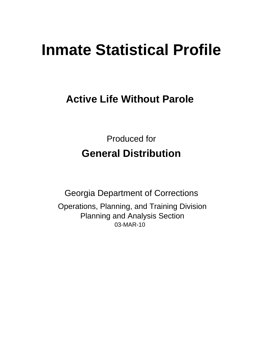# **Inmate Statistical Profile**

# **Active Life Without Parole**

**Produced for General Distribution** 

**Georgia Department of Corrections** Operations, Planning, and Training Division **Planning and Analysis Section** 03-MAR-10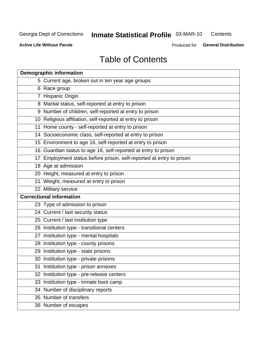#### **Inmate Statistical Profile 03-MAR-10** Contents

**Active Life Without Parole** 

Produced for General Distribution

# **Table of Contents**

| <b>Demographic information</b>                                       |
|----------------------------------------------------------------------|
| 5 Current age, broken out in ten year age groups                     |
| 6 Race group                                                         |
| 7 Hispanic Origin                                                    |
| 8 Marital status, self-reported at entry to prison                   |
| 9 Number of children, self-reported at entry to prison               |
| 10 Religious affiliation, self-reported at entry to prison           |
| 11 Home county - self-reported at entry to prison                    |
| 14 Socioeconomic class, self-reported at entry to prison             |
| 15 Environment to age 16, self-reported at entry to prison           |
| 16 Guardian status to age 16, self-reported at entry to prison       |
| 17 Employment status before prison, self-reported at entry to prison |
| 18 Age at admission                                                  |
| 20 Height, measured at entry to prison                               |
| 21 Weight, measured at entry to prison                               |
| 22 Military service                                                  |
| <b>Correctional information</b>                                      |
| 23 Type of admission to prison                                       |
| 24 Current / last security status                                    |
| 25 Current / last institution type                                   |
| 26 Institution type - transitional centers                           |
| 27 Institution type - mental hospitals                               |
| 28 Institution type - county prisons                                 |
| 29 Institution type - state prisons                                  |
| 30 Institution type - private prisons                                |
| 31 Institution type - prison annexes                                 |
| 32 Institution type - pre-release centers                            |
| 33 Institution type - inmate boot camp                               |
| 34 Number of disciplinary reports                                    |
| 35 Number of transfers                                               |
| 36 Number of escapes                                                 |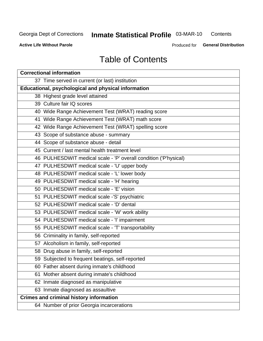# **Inmate Statistical Profile 03-MAR-10**

Contents

**Active Life Without Parole** 

Produced for General Distribution

# **Table of Contents**

| <b>Correctional information</b>                                  |  |  |  |  |  |  |
|------------------------------------------------------------------|--|--|--|--|--|--|
| 37 Time served in current (or last) institution                  |  |  |  |  |  |  |
| Educational, psychological and physical information              |  |  |  |  |  |  |
| 38 Highest grade level attained                                  |  |  |  |  |  |  |
| 39 Culture fair IQ scores                                        |  |  |  |  |  |  |
| 40 Wide Range Achievement Test (WRAT) reading score              |  |  |  |  |  |  |
| 41 Wide Range Achievement Test (WRAT) math score                 |  |  |  |  |  |  |
| 42 Wide Range Achievement Test (WRAT) spelling score             |  |  |  |  |  |  |
| 43 Scope of substance abuse - summary                            |  |  |  |  |  |  |
| 44 Scope of substance abuse - detail                             |  |  |  |  |  |  |
| 45 Current / last mental health treatment level                  |  |  |  |  |  |  |
| 46 PULHESDWIT medical scale - 'P' overall condition ('P'hysical) |  |  |  |  |  |  |
| 47 PULHESDWIT medical scale - 'U' upper body                     |  |  |  |  |  |  |
| 48 PULHESDWIT medical scale - 'L' lower body                     |  |  |  |  |  |  |
| 49 PULHESDWIT medical scale - 'H' hearing                        |  |  |  |  |  |  |
| 50 PULHESDWIT medical scale - 'E' vision                         |  |  |  |  |  |  |
| 51 PULHESDWIT medical scale -'S' psychiatric                     |  |  |  |  |  |  |
| 52 PULHESDWIT medical scale - 'D' dental                         |  |  |  |  |  |  |
| 53 PULHESDWIT medical scale - 'W' work ability                   |  |  |  |  |  |  |
| 54 PULHESDWIT medical scale - 'I' impairment                     |  |  |  |  |  |  |
| 55 PULHESDWIT medical scale - 'T' transportability               |  |  |  |  |  |  |
| 56 Criminality in family, self-reported                          |  |  |  |  |  |  |
| 57 Alcoholism in family, self-reported                           |  |  |  |  |  |  |
| 58 Drug abuse in family, self-reported                           |  |  |  |  |  |  |
| 59 Subjected to frequent beatings, self-reported                 |  |  |  |  |  |  |
| 60 Father absent during inmate's childhood                       |  |  |  |  |  |  |
| Mother absent during inmate's childhood<br>61                    |  |  |  |  |  |  |
| 62 Inmate diagnosed as manipulative                              |  |  |  |  |  |  |
| 63 Inmate diagnosed as assaultive                                |  |  |  |  |  |  |
| <b>Crimes and criminal history information</b>                   |  |  |  |  |  |  |
| 64 Number of prior Georgia incarcerations                        |  |  |  |  |  |  |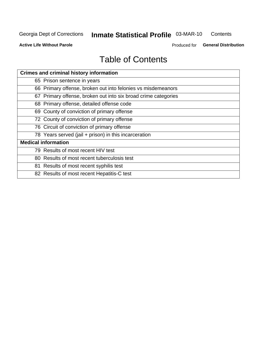#### **Inmate Statistical Profile 03-MAR-10** Contents

**Active Life Without Parole** 

Produced for General Distribution

# **Table of Contents**

| <b>Crimes and criminal history information</b>                 |
|----------------------------------------------------------------|
| 65 Prison sentence in years                                    |
| 66 Primary offense, broken out into felonies vs misdemeanors   |
| 67 Primary offense, broken out into six broad crime categories |
| 68 Primary offense, detailed offense code                      |
| 69 County of conviction of primary offense                     |
| 72 County of conviction of primary offense                     |
| 76 Circuit of conviction of primary offense                    |
| 78 Years served (jail + prison) in this incarceration          |
| <b>Medical information</b>                                     |
| 79 Results of most recent HIV test                             |
| 80 Results of most recent tuberculosis test                    |
| 81 Results of most recent syphilis test                        |
| 82 Results of most recent Hepatitis-C test                     |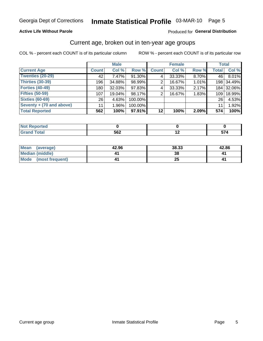### Inmate Statistical Profile 03-MAR-10 Page 5

#### **Active Life Without Parole**

#### Produced for General Distribution

### Current age, broken out in ten-year age groups

COL % - percent each COUNT is of its particular column

|                          |                  | <b>Male</b> |         |              | <b>Female</b> |       |                  | <b>Total</b> |
|--------------------------|------------------|-------------|---------|--------------|---------------|-------|------------------|--------------|
| <b>Current Age</b>       | <b>Count</b>     | Col %       | Row %   | <b>Count</b> | Col %         | Row % | <b>Total</b>     | Col %        |
| Twenties (20-29)         | 42               | 7.47%       | 91.30%  | 4            | 33.33%        | 8.70% | 46 l             | 8.01%        |
| Thirties (30-39)         | 196              | 34.88%      | 98.99%  | 2            | 16.67%        | 1.01% |                  | 198 34.49%   |
| <b>Forties (40-49)</b>   | 180 <sub>1</sub> | 32.03%      | 97.83%  | 4            | 33.33%        | 2.17% |                  | 184 32.06%   |
| <b>Fifties (50-59)</b>   | 107              | 19.04%      | 98.17%  | 2            | 16.67%        | 1.83% | 109 <sup>1</sup> | 18.99%       |
| <b>Sixties (60-69)</b>   | 26               | 4.63%       | 100.00% |              |               |       | 26 <sub>1</sub>  | 4.53%        |
| Seventy + (70 and above) | 11               | $1.96\%$    | 100.00% |              |               |       | 11               | 1.92%        |
| <b>Total Reported</b>    | 562              | 100%        | 97.91%  | 12           | 100%          | 2.09% | 574              | 100%         |

| prtea<br>       |     |    |
|-----------------|-----|----|
| $\sim$<br>_____ | 562 | -- |

| Mean<br>(average)              | 42.96 | 38.33 | 42.86 |
|--------------------------------|-------|-------|-------|
| Median (middle)                |       |       |       |
| <b>Mode</b><br>(most frequent) |       | δJ    |       |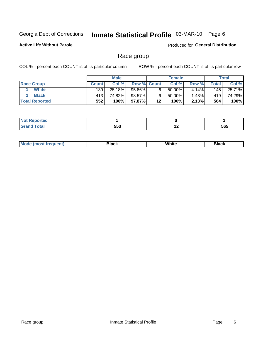# Inmate Statistical Profile 03-MAR-10 Page 6

### **Active Life Without Parole**

**Produced for General Distribution** 

### Race group

COL % - percent each COUNT is of its particular column

|                       |              | <b>Male</b> |                    |    | <b>Female</b> |       |       | <b>Total</b> |
|-----------------------|--------------|-------------|--------------------|----|---------------|-------|-------|--------------|
| <b>Race Group</b>     | <b>Count</b> | Col %       | <b>Row % Count</b> |    | Col %         | Row % | Total | Col %        |
| <b>White</b>          | 139          | 25.18%      | 95.86%             |    | $50.00\%$     | 4.14% | 145   | 25.71%       |
| <b>Black</b>          | 413          | 74.82%      | 98.57%             |    | 50.00%        | 1.43% | 419   | 74.29%       |
| <b>Total Reported</b> | 552          | 100%        | 97.87% 1           | 12 | 100%          | 2.13% | 564   | 100%         |

| <b>NOT Reported</b> |     |     |     |
|---------------------|-----|-----|-----|
| <b>Total</b>        | 553 | . . | 565 |

| M | Wŀ<br>. | ------ |
|---|---------|--------|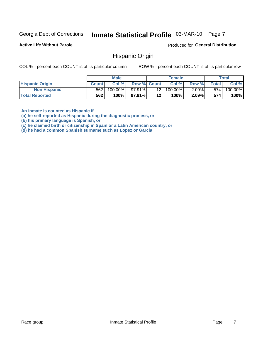# Inmate Statistical Profile 03-MAR-10 Page 7

#### **Active Life Without Parole**

Produced for General Distribution

### **Hispanic Origin**

COL % - percent each COUNT is of its particular column

ROW % - percent each COUNT is of its particular row

|                        | <b>Male</b>  |         |                    | <b>Female</b>   |            |          | Total   |         |
|------------------------|--------------|---------|--------------------|-----------------|------------|----------|---------|---------|
| <b>Hispanic Origin</b> | <b>Count</b> | Col%    | <b>Row % Count</b> |                 | Col%       | Row %    | Total I | Col %   |
| <b>Non Hispanic</b>    | 562          | 100.00% | $97.91\%$          | 12 <sub>1</sub> | $100.00\%$ | $2.09\%$ | 574     | 100.00% |
| <b>Total Reported</b>  | 562          | 100%    | 97.91%             | 12              | 100%       | $2.09\%$ | 574     | 100%    |

An inmate is counted as Hispanic if

(a) he self-reported as Hispanic during the diagnostic process, or

(b) his primary language is Spanish, or

(c) he claimed birth or citizenship in Spain or a Latin American country, or

(d) he had a common Spanish surname such as Lopez or Garcia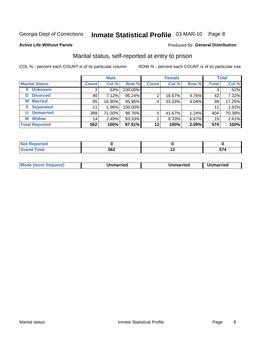# Inmate Statistical Profile 03-MAR-10 Page 8

#### **Active Life Without Parole**

#### **Produced for General Distribution**

### Marital status, self-reported at entry to prison

COL % - percent each COUNT is of its particular column

|                            | <b>Male</b>  |         |         | <b>Female</b> |        |       | <b>Total</b> |        |
|----------------------------|--------------|---------|---------|---------------|--------|-------|--------------|--------|
| <b>Marital Status</b>      | <b>Count</b> | Col %   | Row %   | <b>Count</b>  | Col %  | Row % | <b>Total</b> | Col %  |
| <b>Unknown</b><br>$\bf{0}$ | 3            | $.53\%$ | 100.00% |               |        |       | 3            | .52%   |
| <b>Divorced</b><br>D       | 40           | 7.12%   | 95.24%  | 2             | 16.67% | 4.76% | 42           | 7.32%  |
| <b>Married</b><br>М        | 95           | 16.90%  | 95.96%  | 4             | 33.33% | 4.04% | 99           | 17.25% |
| <b>Separated</b><br>S      | 11           | 1.96%   | 100.00% |               |        |       | 11           | 1.92%  |
| <b>Unmarried</b><br>U      | 399          | 71.00%  | 98.76%  | 5             | 41.67% | 1.24% | 404          | 70.38% |
| <b>Widow</b><br>W          | 14           | 2.49%   | 93.33%  |               | 8.33%  | 6.67% | 15           | 2.61%  |
| <b>Total Reported</b>      | 562          | 100%    | 97.91%  | 12            | 100%   | 2.09% | 574          | 100%   |

| .<br>NOT<br>™rtea<br>医单骨膜炎 医外侧区 |             |    |
|---------------------------------|-------------|----|
|                                 | FCC.<br>JVL | -- |

|  | M | . | Unmarried | າmarried<br>_____ |
|--|---|---|-----------|-------------------|
|--|---|---|-----------|-------------------|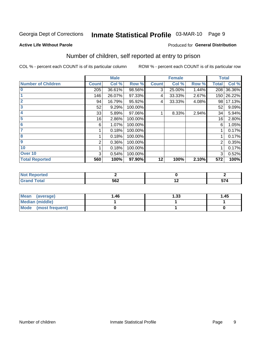# Inmate Statistical Profile 03-MAR-10 Page 9

#### **Active Life Without Parole**

#### Produced for General Distribution

### Number of children, self reported at entry to prison

COL % - percent each COUNT is of its particular column

|                           |              | <b>Male</b> |         |              | <b>Female</b> |       |              | <b>Total</b> |
|---------------------------|--------------|-------------|---------|--------------|---------------|-------|--------------|--------------|
| <b>Number of Children</b> | <b>Count</b> | Col %       | Row %   | <b>Count</b> | Col %         | Row % | <b>Total</b> | Col %        |
| $\bf{0}$                  | 205          | 36.61%      | 98.56%  | 3            | 25.00%        | 1.44% | 208          | 36.36%       |
|                           | 146          | 26.07%      | 97.33%  | 4            | 33.33%        | 2.67% |              | 150 26.22%   |
| $\overline{2}$            | 94           | 16.79%      | 95.92%  | 4            | 33.33%        | 4.08% | 98           | 17.13%       |
| 3                         | 52           | 9.29%       | 100.00% |              |               |       | 52           | 9.09%        |
| 4                         | 33           | 5.89%       | 97.06%  |              | 8.33%         | 2.94% | 34           | 5.94%        |
| 5                         | 16           | 2.86%       | 100.00% |              |               |       | 16           | 2.80%        |
| 6                         | 6            | 1.07%       | 100.00% |              |               |       | 6            | 1.05%        |
|                           |              | 0.18%       | 100.00% |              |               |       |              | 0.17%        |
| 8                         |              | 0.18%       | 100.00% |              |               |       |              | 0.17%        |
| 9                         | 2            | 0.36%       | 100.00% |              |               |       | 2            | 0.35%        |
| 10                        |              | 0.18%       | 100.00% |              |               |       |              | 0.17%        |
| Over 10                   | 3            | 0.54%       | 100.00% |              |               |       | 3            | 0.52%        |
| <b>Total Reported</b>     | 560          | 100%        | 97.90%  | 12           | 100%          | 2.10% | 572          | 100%         |

| τeα<br>$\sim$<br>. |     |     |             |
|--------------------|-----|-----|-------------|
| υιαι<br>$\sim$     | 562 | . . | -- -<br>. . |

| <b>Mean</b><br>(average) | 1.46 | 1.33 | 1.45 |
|--------------------------|------|------|------|
| <b>Median (middle)</b>   |      |      |      |
| Mode<br>(most frequent)  |      |      |      |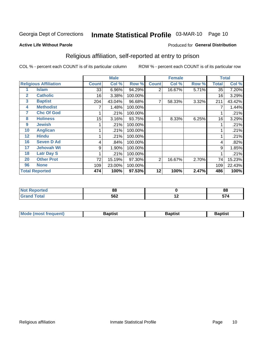# Inmate Statistical Profile 03-MAR-10 Page 10

#### **Active Life Without Parole**

#### Produced for General Distribution

### Religious affiliation, self-reported at entry to prison

COL % - percent each COUNT is of its particular column

|              |                              |              | <b>Male</b> |         |                | <b>Female</b> |       |              | <b>Total</b> |
|--------------|------------------------------|--------------|-------------|---------|----------------|---------------|-------|--------------|--------------|
|              | <b>Religious Affiliation</b> | <b>Count</b> | Col %       | Row %   | <b>Count</b>   | Col %         | Row % | <b>Total</b> | Col %        |
|              | Islam                        | 33           | 6.96%       | 94.29%  | $\overline{2}$ | 16.67%        | 5.71% | 35           | 7.20%        |
| $\mathbf{2}$ | <b>Catholic</b>              | 16           | 3.38%       | 100.00% |                |               |       | 16           | 3.29%        |
| 3            | <b>Baptist</b>               | 204          | 43.04%      | 96.68%  | 7              | 58.33%        | 3.32% | 211          | 43.42%       |
| 4            | <b>Methodist</b>             |              | 1.48%       | 100.00% |                |               |       |              | 1.44%        |
| 7            | <b>Chc Of God</b>            |              | .21%        | 100.00% |                |               |       |              | .21%         |
| 8            | <b>Holiness</b>              | 15           | 3.16%       | 93.75%  |                | 8.33%         | 6.25% | 16           | 3.29%        |
| 9            | <b>Jewish</b>                |              | .21%        | 100.00% |                |               |       |              | .21%         |
| 10           | <b>Anglican</b>              |              | .21%        | 100.00% |                |               |       |              | .21%         |
| 12           | <b>Hindu</b>                 |              | .21%        | 100.00% |                |               |       |              | .21%         |
| 16           | <b>Seven D Ad</b>            | 4            | .84%        | 100.00% |                |               |       | 4            | .82%         |
| 17           | <b>Jehovah Wt</b>            | 9            | 1.90%       | 100.00% |                |               |       | 9            | 1.85%        |
| 18           | <b>Latr Day S</b>            |              | .21%        | 100.00% |                |               |       |              | .21%         |
| 20           | <b>Other Prot</b>            | 72           | 15.19%      | 97.30%  | 2              | 16.67%        | 2.70% | 74           | 15.23%       |
| 96           | <b>None</b>                  | 109          | 23.00%      | 100.00% |                |               |       | 109          | 22.43%       |
|              | <b>Total Reported</b>        | 474          | 100%        | 97.53%  | 12             | 100%          | 2.47% | 486          | 100%         |

| ı tea<br>. | n n |        | 0C<br>oo            |
|------------|-----|--------|---------------------|
| _____      | 562 | $\sim$ | --<br>$\sim$ $\sim$ |

| Mode (most frequent) | Baptist | <b>Baptist</b> | aptıst |
|----------------------|---------|----------------|--------|
|                      |         |                |        |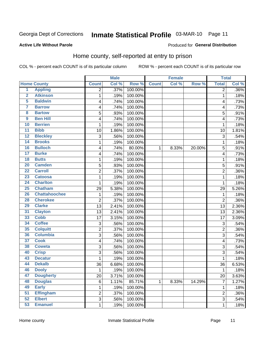# Inmate Statistical Profile 03-MAR-10 Page 11

### **Active Life Without Parole**

#### Produced for General Distribution

### Home county, self-reported at entry to prison

COL % - percent each COUNT is of its particular column

|                         |                      |                | <b>Male</b> |         |              | <b>Female</b> |        | <b>Total</b>   |         |
|-------------------------|----------------------|----------------|-------------|---------|--------------|---------------|--------|----------------|---------|
|                         | <b>Home County</b>   | <b>Count</b>   | Col %       | Row %   | <b>Count</b> | Col %         | Row %  | <b>Total</b>   | Col %   |
| $\overline{1}$          | <b>Appling</b>       | $\overline{2}$ | .37%        | 100.00% |              |               |        | $\overline{2}$ | $.36\%$ |
| $\overline{2}$          | <b>Atkinson</b>      | $\mathbf{1}$   | .19%        | 100.00% |              |               |        | 1              | .18%    |
| $\overline{5}$          | <b>Baldwin</b>       | 4              | .74%        | 100.00% |              |               |        | 4              | .73%    |
| $\overline{\mathbf{7}}$ | <b>Barrow</b>        | 4              | .74%        | 100.00% |              |               |        | 4              | .73%    |
| $\overline{\mathbf{8}}$ | <b>Bartow</b>        | 5              | .93%        | 100.00% |              |               |        | 5              | .91%    |
| $\overline{9}$          | <b>Ben Hill</b>      | 4              | .74%        | 100.00% |              |               |        | 4              | .73%    |
| 10                      | <b>Berrien</b>       | $\mathbf{1}$   | .19%        | 100.00% |              |               |        | 1              | .18%    |
| $\overline{11}$         | <b>Bibb</b>          | 10             | 1.86%       | 100.00% |              |               |        | 10             | 1.81%   |
| 12                      | <b>Bleckley</b>      | 3              | .56%        | 100.00% |              |               |        | 3              | .54%    |
| 14                      | <b>Brooks</b>        | $\mathbf 1$    | .19%        | 100.00% |              |               |        | 1              | .18%    |
| 16                      | <b>Bulloch</b>       | 4              | .74%        | 80.00%  | 1            | 8.33%         | 20.00% | 5              | .91%    |
| 17                      | <b>Burke</b>         | 4              | .74%        | 100.00% |              |               |        | 4              | .73%    |
| 18                      | <b>Butts</b>         | $\mathbf 1$    | .19%        | 100.00% |              |               |        | 1              | .18%    |
| 20                      | <b>Camden</b>        | 5              | .93%        | 100.00% |              |               |        | 5              | .91%    |
| $\overline{22}$         | <b>Carroll</b>       | $\overline{2}$ | .37%        | 100.00% |              |               |        | $\overline{2}$ | .36%    |
| 23                      | <b>Catoosa</b>       | 1              | .19%        | 100.00% |              |               |        | 1              | .18%    |
| 24                      | <b>Charlton</b>      | $\mathbf{1}$   | .19%        | 100.00% |              |               |        | 1              | .18%    |
| 25                      | <b>Chatham</b>       | 29             | 5.38%       | 100.00% |              |               |        | 29             | 5.26%   |
| 26                      | <b>Chattahoochee</b> | $\mathbf 1$    | .19%        | 100.00% |              |               |        | 1              | .18%    |
| 28                      | <b>Cherokee</b>      | $\overline{2}$ | .37%        | 100.00% |              |               |        | $\overline{2}$ | .36%    |
| 29                      | <b>Clarke</b>        | 13             | 2.41%       | 100.00% |              |               |        | 13             | 2.36%   |
| 31                      | <b>Clayton</b>       | 13             | 2.41%       | 100.00% |              |               |        | 13             | 2.36%   |
| 33                      | <b>Cobb</b>          | 17             | 3.15%       | 100.00% |              |               |        | 17             | 3.09%   |
| 34                      | <b>Coffee</b>        | 3              | .56%        | 100.00% |              |               |        | 3              | .54%    |
| 35                      | <b>Colquitt</b>      | $\overline{c}$ | .37%        | 100.00% |              |               |        | $\overline{c}$ | .36%    |
| 36                      | <b>Columbia</b>      | 3              | .56%        | 100.00% |              |               |        | 3              | .54%    |
| 37                      | <b>Cook</b>          | 4              | .74%        | 100.00% |              |               |        | 4              | .73%    |
| 38                      | <b>Coweta</b>        | 3              | .56%        | 100.00% |              |               |        | 3              | .54%    |
| 40                      | <b>Crisp</b>         | 3              | .56%        | 100.00% |              |               |        | 3              | .54%    |
| 43                      | <b>Decatur</b>       | $\mathbf{1}$   | .19%        | 100.00% |              |               |        | 1              | .18%    |
| 44                      | <b>Dekalb</b>        | 36             | 6.68%       | 100.00% |              |               |        | 36             | 6.53%   |
| 46                      | <b>Dooly</b>         | $\mathbf 1$    | .19%        | 100.00% |              |               |        | 1              | .18%    |
| 47                      | <b>Dougherty</b>     | 20             | 3.71%       | 100.00% |              |               |        | 20             | 3.63%   |
| 48                      | <b>Douglas</b>       | 6              | 1.11%       | 85.71%  | $\mathbf{1}$ | 8.33%         | 14.29% | 7              | 1.27%   |
| 49                      | <b>Early</b>         | $\mathbf{1}$   | .19%        | 100.00% |              |               |        | 1              | .18%    |
| 51                      | <b>Effingham</b>     | $\overline{2}$ | .37%        | 100.00% |              |               |        | $\overline{2}$ | .36%    |
| 52                      | <b>Elbert</b>        | $\overline{3}$ | .56%        | 100.00% |              |               |        | 3              | .54%    |
| 53                      | <b>Emanuel</b>       | $\mathbf{1}$   | .19%        | 100.00% |              |               |        | 1              | .18%    |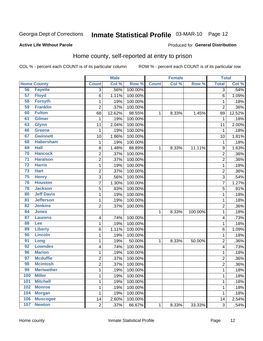# Inmate Statistical Profile 03-MAR-10 Page 12

#### **Active Life Without Parole**

#### **Produced for General Distribution**

### Home county, self-reported at entry to prison

COL % - percent each COUNT is of its particular column

|                 |                    |                         | <b>Male</b> |         |              | <b>Female</b> |         | <b>Total</b>   |        |
|-----------------|--------------------|-------------------------|-------------|---------|--------------|---------------|---------|----------------|--------|
|                 | <b>Home County</b> | <b>Count</b>            | Col %       | Row %   | <b>Count</b> | Col %         | Row %   | <b>Total</b>   | Col %  |
| 56              | <b>Fayette</b>     | $\overline{3}$          | .56%        | 100.00% |              |               |         | 3              | .54%   |
| 57              | <b>Floyd</b>       | 6                       | 1.11%       | 100.00% |              |               |         | 6              | 1.09%  |
| 58              | <b>Forsyth</b>     | $\mathbf 1$             | .19%        | 100.00% |              |               |         | 1              | .18%   |
| 59              | <b>Franklin</b>    | $\overline{2}$          | .37%        | 100.00% |              |               |         | $\overline{2}$ | .36%   |
| 60              | <b>Fulton</b>      | 68                      | 12.62%      | 98.55%  | 1            | 8.33%         | 1.45%   | 69             | 12.52% |
| 61              | <b>Gilmer</b>      | $\mathbf{1}$            | .19%        | 100.00% |              |               |         | 1              | .18%   |
| 63              | <b>Glynn</b>       | 11                      | 2.04%       | 100.00% |              |               |         | 11             | 2.00%  |
| 66              | <b>Greene</b>      | 1                       | .19%        | 100.00% |              |               |         | 1              | .18%   |
| 67              | <b>Gwinnett</b>    | 10                      | 1.86%       | 100.00% |              |               |         | 10             | 1.81%  |
| 68              | <b>Habersham</b>   | $\mathbf 1$             | .19%        | 100.00% |              |               |         | 1              | .18%   |
| 69              | <b>Hall</b>        | 8                       | 1.48%       | 88.89%  | 1            | 8.33%         | 11.11%  | 9              | 1.63%  |
| 70              | <b>Hancock</b>     | $\overline{\mathbf{c}}$ | .37%        | 100.00% |              |               |         | $\overline{c}$ | .36%   |
| $\overline{71}$ | <b>Haralson</b>    | $\overline{c}$          | .37%        | 100.00% |              |               |         | $\overline{2}$ | .36%   |
| $\overline{72}$ | <b>Harris</b>      | $\mathbf{1}$            | .19%        | 100.00% |              |               |         | 1              | .18%   |
| $\overline{73}$ | <b>Hart</b>        | $\overline{c}$          | .37%        | 100.00% |              |               |         | $\overline{2}$ | .36%   |
| 75              | <b>Henry</b>       | 3                       | .56%        | 100.00% |              |               |         | 3              | .54%   |
| 76              | <b>Houston</b>     | 7                       | 1.30%       | 100.00% |              |               |         | 7              | 1.27%  |
| 78              | <b>Jackson</b>     | 5                       | .93%        | 100.00% |              |               |         | 5              | .91%   |
| 80              | <b>Jeff Davis</b>  | $\mathbf 1$             | .19%        | 100.00% |              |               |         | 1              | .18%   |
| 81              | <b>Jefferson</b>   | $\mathbf 1$             | .19%        | 100.00% |              |               |         | 1              | .18%   |
| 82              | <b>Jenkins</b>     | $\overline{2}$          | .37%        | 100.00% |              |               |         | 2              | .36%   |
| 84              | <b>Jones</b>       |                         |             |         | $\mathbf{1}$ | 8.33%         | 100.00% | 1              | .18%   |
| 87              | <b>Laurens</b>     | 4                       | .74%        | 100.00% |              |               |         | 4              | .73%   |
| 88              | <b>Lee</b>         | $\mathbf{1}$            | .19%        | 100.00% |              |               |         | 1              | .18%   |
| 89              | <b>Liberty</b>     | 6                       | 1.11%       | 100.00% |              |               |         | 6              | 1.09%  |
| 90              | <b>Lincoln</b>     | 1                       | .19%        | 100.00% |              |               |         | 1              | .18%   |
| 91              | Long               | $\mathbf 1$             | .19%        | 50.00%  | 1            | 8.33%         | 50.00%  | $\overline{c}$ | .36%   |
| 92              | <b>Lowndes</b>     | 4                       | .74%        | 100.00% |              |               |         | 4              | .73%   |
| 96              | <b>Marion</b>      | $\mathbf 1$             | .19%        | 100.00% |              |               |         | 1              | .18%   |
| 97              | <b>Mcduffie</b>    | $\overline{\mathbf{c}}$ | .37%        | 100.00% |              |               |         | $\overline{c}$ | .36%   |
| 98              | <b>Mcintosh</b>    | $\overline{2}$          | .37%        | 100.00% |              |               |         | $\overline{2}$ | .36%   |
| 99              | <b>Meriwether</b>  | 1                       | .19%        | 100.00% |              |               |         | 1              | .18%   |
| 100             | <b>Miller</b>      | $\mathbf{1}$            | .19%        | 100.00% |              |               |         | 1              | .18%   |
| 101             | <b>Mitchell</b>    | $\mathbf{1}$            | .19%        | 100.00% |              |               |         | 1              | .18%   |
| 102             | <b>Monroe</b>      | $\mathbf 1$             | .19%        | 100.00% |              |               |         | 1              | .18%   |
| 104             | <b>Morgan</b>      | 1                       | .19%        | 100.00% |              |               |         | 1              | .18%   |
| 106             | <b>Muscogee</b>    | 14                      | 2.60%       | 100.00% |              |               |         | 14             | 2.54%  |
| 107             | <b>Newton</b>      | $\overline{2}$          | .37%        | 66.67%  | $\mathbf 1$  | 8.33%         | 33.33%  | 3              | .54%   |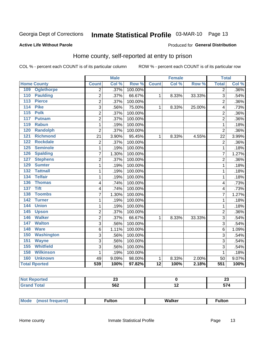# Inmate Statistical Profile 03-MAR-10 Page 13

#### **Active Life Without Parole**

### **Produced for General Distribution**

### Home county, self-reported at entry to prison

COL % - percent each COUNT is of its particular column

|                      |                   |                | <b>Male</b> |         |                 | <b>Female</b> |        | <b>Total</b>   |       |
|----------------------|-------------------|----------------|-------------|---------|-----------------|---------------|--------|----------------|-------|
| <b>Home County</b>   |                   | <b>Count</b>   | Col %       | Row %   | <b>Count</b>    | Col %         | Row %  | <b>Total</b>   | Col % |
| 109                  | <b>Oglethorpe</b> | $\overline{2}$ | .37%        | 100.00% |                 |               |        | $\overline{2}$ | .36%  |
| 110                  | <b>Paulding</b>   | $\overline{2}$ | .37%        | 66.67%  | $\mathbf{1}$    | 8.33%         | 33.33% | 3              | .54%  |
| 113                  | <b>Pierce</b>     | $\overline{2}$ | .37%        | 100.00% |                 |               |        | $\overline{2}$ | .36%  |
| 114                  | <b>Pike</b>       | 3              | .56%        | 75.00%  | $\mathbf{1}$    | 8.33%         | 25.00% | 4              | .73%  |
| 115                  | <b>Polk</b>       | $\overline{2}$ | .37%        | 100.00% |                 |               |        | $\overline{2}$ | .36%  |
| 117                  | <b>Putnam</b>     | $\overline{2}$ | .37%        | 100.00% |                 |               |        | $\overline{2}$ | .36%  |
| 119                  | <b>Rabun</b>      | 1              | .19%        | 100.00% |                 |               |        | 1              | .18%  |
| 120                  | <b>Randolph</b>   | $\overline{2}$ | .37%        | 100.00% |                 |               |        | $\overline{2}$ | .36%  |
| 121                  | <b>Richmond</b>   | 21             | 3.90%       | 95.45%  | $\mathbf{1}$    | 8.33%         | 4.55%  | 22             | 3.99% |
| 122                  | <b>Rockdale</b>   | $\overline{c}$ | .37%        | 100.00% |                 |               |        | $\overline{2}$ | .36%  |
| 125                  | <b>Seminole</b>   | 1              | .19%        | 100.00% |                 |               |        | 1              | .18%  |
| 126                  | <b>Spalding</b>   | 7              | 1.30%       | 100.00% |                 |               |        | 7              | 1.27% |
| 127                  | <b>Stephens</b>   | $\overline{2}$ | .37%        | 100.00% |                 |               |        | $\overline{2}$ | .36%  |
| 129                  | <b>Sumter</b>     | 1              | .19%        | 100.00% |                 |               |        | 1              | .18%  |
| 132                  | <b>Tattnall</b>   | 1              | .19%        | 100.00% |                 |               |        | 1              | .18%  |
| 134                  | <b>Telfair</b>    | 1              | .19%        | 100.00% |                 |               |        | 1              | .18%  |
| 136                  | <b>Thomas</b>     | 4              | .74%        | 100.00% |                 |               |        | $\overline{4}$ | .73%  |
| 137                  | <b>Tift</b>       | 4              | .74%        | 100.00% |                 |               |        | 4              | .73%  |
| 138                  | <b>Toombs</b>     | 7              | 1.30%       | 100.00% |                 |               |        | 7              | 1.27% |
| 142                  | <b>Turner</b>     | 1              | .19%        | 100.00% |                 |               |        | 1              | .18%  |
| 144                  | <b>Union</b>      | 1              | .19%        | 100.00% |                 |               |        | 1              | .18%  |
| 145                  | <b>Upson</b>      | $\overline{c}$ | .37%        | 100.00% |                 |               |        | $\overline{2}$ | .36%  |
| 146                  | <b>Walker</b>     | 2              | .37%        | 66.67%  | 1               | 8.33%         | 33.33% | 3              | .54%  |
| 147                  | <b>Walton</b>     | 3              | .56%        | 100.00% |                 |               |        | 3              | .54%  |
| 148                  | <b>Ware</b>       | 6              | 1.11%       | 100.00% |                 |               |        | 6              | 1.09% |
| 150                  | <b>Washington</b> | 3              | .56%        | 100.00% |                 |               |        | 3              | .54%  |
| 151                  | <b>Wayne</b>      | 3              | .56%        | 100.00% |                 |               |        | 3              | .54%  |
| 155                  | <b>Whitfield</b>  | 3              | .56%        | 100.00% |                 |               |        | 3              | .54%  |
| 158                  | <b>Wilkinson</b>  | 1              | .19%        | 100.00% |                 |               |        | 1              | .18%  |
| 160                  | <b>Unknown</b>    | 49             | 9.09%       | 98.00%  | 1               | 8.33%         | 2.00%  | 50             | 9.07% |
| <b>Total Rported</b> |                   | 539            | 100%        | 97.82%  | $\overline{12}$ | 100%          | 2.18%  | 551            | 100%  |

| Reported<br>N.<br>$\cdots$ | --  |                          | . .<br>∼∸ |
|----------------------------|-----|--------------------------|-----------|
|                            | 562 | $\overline{\phantom{0}}$ |           |

| <b>Mode</b> | ∙ultor | <b>Walker</b> | ultor |  |
|-------------|--------|---------------|-------|--|
| $\cdots$    |        |               |       |  |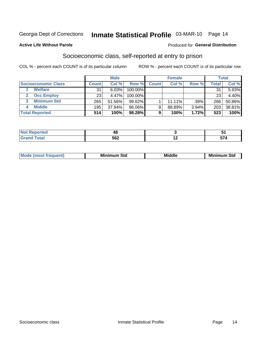# Inmate Statistical Profile 03-MAR-10 Page 14

#### **Active Life Without Parole**

#### Produced for General Distribution

### Socioeconomic class, self-reported at entry to prison

COL % - percent each COUNT is of its particular column

|                       |              | <b>Male</b> |            |              | <b>Female</b> |       |       | <b>Total</b> |
|-----------------------|--------------|-------------|------------|--------------|---------------|-------|-------|--------------|
| Socioeconomic Class   | <b>Count</b> | Col %       | Row %      | <b>Count</b> | Col %         | Row % | Total | Col %        |
| <b>Welfare</b>        | 31           | 6.03%       | 100.00%    |              |               |       | 31    | 5.93%        |
| <b>Occ Employ</b>     | 23           | 4.47%       | $100.00\%$ |              |               |       | 23    | 4.40%        |
| <b>Minimum Std</b>    | 265          | 51.56%      | $99.62\%$  |              | $11.11\%$     | .38%  | 266   | 50.86%       |
| <b>Middle</b>         | 195          | 37.94%      | 96.06%     |              | 88.89%        | 3.94% | 203   | 38.81%       |
| <b>Total Reported</b> | 514          | 100%        | 98.28%     |              | 100%          | 1.72% | 523   | 100%         |

| rtea<br>$\sim$<br>. | 40  |    |
|---------------------|-----|----|
|                     | 562 | -- |

|  | Mo | Minin<br>Std<br>$- - - -$ | <b>Middle</b> | Min<br>Std<br>. |
|--|----|---------------------------|---------------|-----------------|
|--|----|---------------------------|---------------|-----------------|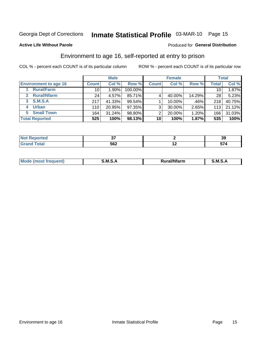# Inmate Statistical Profile 03-MAR-10 Page 15

#### **Active Life Without Parole**

#### Produced for General Distribution

### Environment to age 16, self-reported at entry to prison

COL % - percent each COUNT is of its particular column

|                                      |                 | <b>Male</b> |         |                | <b>Female</b> |        |                 | <b>Total</b> |
|--------------------------------------|-----------------|-------------|---------|----------------|---------------|--------|-----------------|--------------|
| <b>Environment to age 16</b>         | <b>Count</b>    | Col %       | Row %   | <b>Count</b>   | Col %         | Row %  | <b>Total</b>    | Col %        |
| <b>Rural/Farm</b>                    | 10              | $1.90\%$    | 100.00% |                |               |        | 10 <sub>1</sub> | 1.87%        |
| <b>Rural/Nfarm</b><br>$\overline{2}$ | 24 <sub>1</sub> | 4.57%       | 85.71%  |                | 40.00%        | 14.29% | 28              | 5.23%        |
| 3 S.M.S.A                            | 217             | 41.33%      | 99.54%  |                | 10.00%        | .46%   | 218             | 40.75%       |
| <b>Urban</b><br>4                    | 110             | 20.95%      | 97.35%  | 3 <sub>1</sub> | 30.00%        | 2.65%  | 113             | 21.12%       |
| <b>Small Town</b><br>5               | 164             | 31.24%      | 98.80%  | 2              | 20.00%        | 1.20%  | 166             | 31.03%       |
| <b>Total Reported</b>                | 525             | 100%        | 98.13%  | 10             | 100%          | 1.87%  | 535             | 100%         |

| Reported<br><b>NOT</b><br>$\sim$ |     |     | $\sim$<br>v |
|----------------------------------|-----|-----|-------------|
| <b>Total</b>                     | 562 | . . | --          |

| Mo | M | .<br><b>Ifarm</b> | M<br>- |
|----|---|-------------------|--------|
|    |   |                   |        |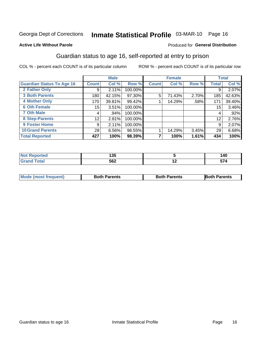# Inmate Statistical Profile 03-MAR-10 Page 16

#### **Active Life Without Parole**

#### Produced for General Distribution

### Guardian status to age 16, self-reported at entry to prison

COL % - percent each COUNT is of its particular column

|                                  |                 | <b>Male</b> |         |              | <b>Female</b> |       |              | <b>Total</b> |
|----------------------------------|-----------------|-------------|---------|--------------|---------------|-------|--------------|--------------|
| <b>Guardian Status To Age 16</b> | <b>Count</b>    | Col %       | Row %   | <b>Count</b> | Col %         | Row % | <b>Total</b> | Col %        |
| 2 Father Only                    | 9               | 2.11%       | 100.00% |              |               |       | 9            | 2.07%        |
| <b>3 Both Parents</b>            | 180             | 42.15%      | 97.30%  | 5            | 71.43%        | 2.70% | 185          | 42.63%       |
| <b>4 Mother Only</b>             | 170             | 39.81%      | 99.42%  |              | 14.29%        | .58%  | 171          | 39.40%       |
| <b>6 Oth Female</b>              | 15              | 3.51%       | 100.00% |              |               |       | 15           | 3.46%        |
| <b>7 Oth Male</b>                | 4               | .94%        | 100.00% |              |               |       | 4            | $.92\%$      |
| 8 Step-Parents                   | 12 <sub>1</sub> | 2.81%       | 100.00% |              |               |       | 12           | 2.76%        |
| <b>9 Foster Home</b>             | 9               | 2.11%       | 100.00% |              |               |       | 9            | 2.07%        |
| <b>10 Grand Parents</b>          | 28              | 6.56%       | 96.55%  |              | 14.29%        | 3.45% | 29           | 6.68%        |
| <b>Total Reported</b>            | 427             | 100%        | 98.39%  |              | 100%          | 1.61% | 434          | 100%         |

| ted   | .<br>ט ט |     | 140       |
|-------|----------|-----|-----------|
| Total | 562      | . . | --<br>- 7 |

| <b>Mode (most frequent)</b> | <b>Both Parents</b> | <b>Both Parents</b> | <b>Both Parents</b> |
|-----------------------------|---------------------|---------------------|---------------------|
|                             |                     |                     |                     |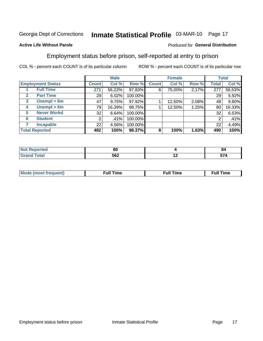# Inmate Statistical Profile 03-MAR-10 Page 17

#### **Active Life Without Parole**

### Produced for General Distribution

### Employment status before prison, self-reported at entry to prison

COL % - percent each COUNT is of its particular column

|                                  |                 | <b>Male</b> |         |              | <b>Female</b> |       |              | <b>Total</b> |
|----------------------------------|-----------------|-------------|---------|--------------|---------------|-------|--------------|--------------|
| <b>Employment Status</b>         | <b>Count</b>    | Col %       | Row %   | <b>Count</b> | Col %         | Row % | <b>Total</b> | Col %        |
| <b>Full Time</b>                 | 271             | 56.22%      | 97.83%  | 6            | 75.00%        | 2.17% | 277          | 56.53%       |
| <b>Part Time</b><br>$\mathbf{2}$ | 29 <sub>1</sub> | 6.02%       | 100.00% |              |               |       | 29           | 5.92%        |
| Unempl $<$ 6m<br>3               | 47              | 9.75%       | 97.92%  |              | 12.50%        | 2.08% | 48           | 9.80%        |
| Unempl > 6m<br>4                 | 79              | 16.39%      | 98.75%  |              | 12.50%        | 1.25% | 80           | 16.33%       |
| <b>Never Workd</b><br>5          | 32              | 6.64%       | 100.00% |              |               |       | 32           | 6.53%        |
| <b>Student</b><br>6              | 2               | .41%        | 100.00% |              |               |       |              | .41%         |
| <b>Incapable</b>                 | 22              | 4.56%       | 100.00% |              |               |       | 22           | 4.49%        |
| <b>Total Reported</b>            | 482             | 100%        | 98.37%  | 8            | 100%          | 1.63% | 490          | 100%         |

| тео -                 | 80  |     | u<br>84 |
|-----------------------|-----|-----|---------|
| $f \wedge f \wedge f$ | 562 | . . | -- -    |

| Mc | ∴ull | ----<br>ıme<br>w |
|----|------|------------------|
|    |      |                  |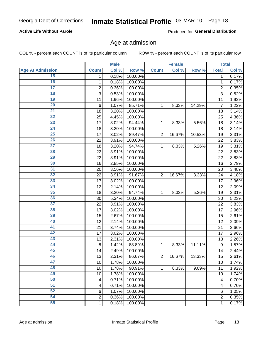### Inmate Statistical Profile 03-MAR-10 Page 18

### **Active Life Without Parole**

Produced for General Distribution

### Age at admission

COL % - percent each COUNT is of its particular column

|                         |                         | <b>Male</b> |         |                | <b>Female</b> |        |                  | <b>Total</b> |
|-------------------------|-------------------------|-------------|---------|----------------|---------------|--------|------------------|--------------|
| <b>Age At Admission</b> | <b>Count</b>            | Col %       | Row %   | <b>Count</b>   | Col %         | Row %  | <b>Total</b>     | Col %        |
| 15                      | 1                       | 0.18%       | 100.00% |                |               |        | 1                | 0.17%        |
| 16                      | 1                       | 0.18%       | 100.00% |                |               |        | $\mathbf{1}$     | 0.17%        |
| $\overline{17}$         | $\overline{\mathbf{c}}$ | 0.36%       | 100.00% |                |               |        | $\overline{2}$   | 0.35%        |
| 18                      | 3                       | 0.53%       | 100.00% |                |               |        | 3                | 0.52%        |
| 19                      | 11                      | 1.96%       | 100.00% |                |               |        | 11               | 1.92%        |
| 20                      | $6\phantom{1}6$         | 1.07%       | 85.71%  | 1              | 8.33%         | 14.29% | 7                | 1.22%        |
| 21                      | 18                      | 3.20%       | 100.00% |                |               |        | 18               | 3.14%        |
| 22                      | 25                      | 4.45%       | 100.00% |                |               |        | 25               | 4.36%        |
| 23                      | 17                      | 3.02%       | 94.44%  | 1              | 8.33%         | 5.56%  | 18               | 3.14%        |
| 24                      | 18                      | 3.20%       | 100.00% |                |               |        | 18               | 3.14%        |
| $\overline{25}$         | 17                      | 3.02%       | 89.47%  | $\overline{2}$ | 16.67%        | 10.53% | 19               | 3.31%        |
| 26                      | 22                      | 3.91%       | 100.00% |                |               |        | 22               | 3.83%        |
| $\overline{27}$         | 18                      | 3.20%       | 94.74%  | $\mathbf{1}$   | 8.33%         | 5.26%  | 19               | 3.31%        |
| 28                      | 22                      | 3.91%       | 100.00% |                |               |        | 22               | 3.83%        |
| 29                      | 22                      | 3.91%       | 100.00% |                |               |        | 22               | 3.83%        |
| 30                      | 16                      | 2.85%       | 100.00% |                |               |        | 16               | 2.79%        |
| 31                      | 20                      | 3.56%       | 100.00% |                |               |        | 20               | 3.48%        |
| 32                      | 22                      | 3.91%       | 91.67%  | $\overline{2}$ | 16.67%        | 8.33%  | 24               | 4.18%        |
| 33                      | 17                      | 3.02%       | 100.00% |                |               |        | 17               | 2.96%        |
| 34                      | 12                      | 2.14%       | 100.00% |                |               |        | 12               | 2.09%        |
| 35                      | 18                      | 3.20%       | 94.74%  | 1              | 8.33%         | 5.26%  | 19               | 3.31%        |
| 36                      | 30                      | 5.34%       | 100.00% |                |               |        | 30               | 5.23%        |
| $\overline{37}$         | 22                      | 3.91%       | 100.00% |                |               |        | 22               | 3.83%        |
| 38                      | 17                      | 3.02%       | 100.00% |                |               |        | 17               | 2.96%        |
| 39                      | 15                      | 2.67%       | 100.00% |                |               |        | 15               | 2.61%        |
| 40                      | 12                      | 2.14%       | 100.00% |                |               |        | 12               | 2.09%        |
| 41                      | 21                      | 3.74%       | 100.00% |                |               |        | 21               | 3.66%        |
| 42                      | 17                      | 3.02%       | 100.00% |                |               |        | 17               | 2.96%        |
| 43                      | 13                      | 2.31%       | 100.00% |                |               |        | 13               | 2.26%        |
| 44                      | 8                       | 1.42%       | 88.89%  | 1              | 8.33%         | 11.11% | $\boldsymbol{9}$ | 1.57%        |
| 45                      | 14                      | 2.49%       | 100.00% |                |               |        | 14               | 2.44%        |
| 46                      | 13                      | 2.31%       | 86.67%  | $\overline{2}$ | 16.67%        | 13.33% | 15               | 2.61%        |
| 47                      | 10                      | 1.78%       | 100.00% |                |               |        | 10               | 1.74%        |
| 48                      | 10                      | 1.78%       | 90.91%  | 1              | 8.33%         | 9.09%  | 11               | 1.92%        |
| 49                      | 10                      | 1.78%       | 100.00% |                |               |        | 10               | 1.74%        |
| 50                      | $\overline{4}$          | 0.71%       | 100.00% |                |               |        | 4                | 0.70%        |
| $\overline{51}$         | 4                       | 0.71%       | 100.00% |                |               |        | 4                | 0.70%        |
| 52                      | $6\phantom{1}6$         | 1.07%       | 100.00% |                |               |        | 6                | 1.05%        |
| 54                      | $\overline{\mathbf{c}}$ | 0.36%       | 100.00% |                |               |        | 2                | 0.35%        |
| 55                      | 1                       | 0.18%       | 100.00% |                |               |        | $\mathbf{1}$     | 0.17%        |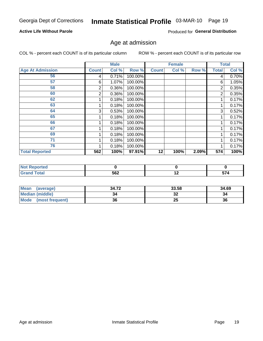### Inmate Statistical Profile 03-MAR-10 Page 19

### **Active Life Without Parole**

Produced for General Distribution

### Age at admission

COL % - percent each COUNT is of its particular column

|                         |              | <b>Male</b> |         |              | <b>Female</b> |       |                | <b>Total</b> |
|-------------------------|--------------|-------------|---------|--------------|---------------|-------|----------------|--------------|
| <b>Age At Admission</b> | <b>Count</b> | Col %       | Row %   | <b>Count</b> | Col%          | Row % | <b>Total</b>   | Col %        |
| 56                      | 4            | 0.71%       | 100.00% |              |               |       | 4              | 0.70%        |
| 57                      | 6            | 1.07%       | 100.00% |              |               |       | 6              | 1.05%        |
| 58                      | 2            | 0.36%       | 100.00% |              |               |       | 2              | 0.35%        |
| 60                      | 2            | 0.36%       | 100.00% |              |               |       | $\overline{2}$ | 0.35%        |
| 62                      |              | 0.18%       | 100.00% |              |               |       |                | 0.17%        |
| 63                      |              | 0.18%       | 100.00% |              |               |       |                | 0.17%        |
| 64                      | 3            | 0.53%       | 100.00% |              |               |       | 3              | 0.52%        |
| 65                      |              | 0.18%       | 100.00% |              |               |       |                | 0.17%        |
| 66                      |              | 0.18%       | 100.00% |              |               |       |                | 0.17%        |
| 67                      |              | 0.18%       | 100.00% |              |               |       |                | 0.17%        |
| 69                      |              | 0.18%       | 100.00% |              |               |       |                | 0.17%        |
| 71                      |              | 0.18%       | 100.00% |              |               |       |                | 0.17%        |
| 76                      |              | 0.18%       | 100.00% |              |               |       |                | 0.17%        |
| <b>Total Reported</b>   | 562          | 100%        | 97.91%  | 12           | 100%          | 2.09% | 574            | 100%         |

| orted                           |     |     |      |
|---------------------------------|-----|-----|------|
| <b>otal</b><br>$\mathbf{v}$ and | 562 | . . | -- - |

| <b>Mean</b><br>(average) | 34.72 | 33.58    | 34.69 |
|--------------------------|-------|----------|-------|
| <b>Median (middle)</b>   |       | ^^<br>⊾ت | 34    |
| Mode<br>(most frequent)  | 36    | 25       | 36    |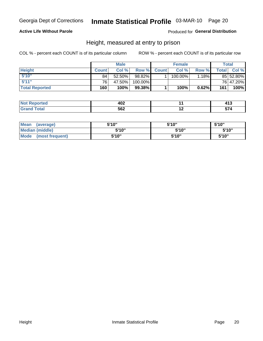### Inmate Statistical Profile 03-MAR-10 Page 20

#### **Active Life Without Parole**

Produced for General Distribution

### Height, measured at entry to prison

COL % - percent each COUNT is of its particular column

|                       |                 | <b>Male</b> |         |             | <b>Female</b> |          |       | Total     |
|-----------------------|-----------------|-------------|---------|-------------|---------------|----------|-------|-----------|
| <b>Height</b>         | <b>Count</b>    | Col %       |         | Row % Count | Col %         | Row %I   | Total | Col %     |
| 5'10''                | 84 <sub>1</sub> | 52.50%      | 98.82%  |             | 100.00%       | $1.18\%$ |       | 85 52.80% |
| 5'11''                | 76 <sub>1</sub> | 47.50%      | 100.00% |             |               |          |       | 76 47.20% |
| <b>Total Reported</b> | 160             | 100%        | 99.38%  |             | 100%          | 0.62%    | 161   | 100%      |

| N0<br>теа                           | "^^<br>™∸  |     |                    |
|-------------------------------------|------------|-----|--------------------|
| <b>Total</b><br><b>GP</b><br>$\sim$ | になつ<br>◞◡▴ | . . | $\sim$ $\sim$<br>- |

| <b>Mean</b><br>(average)       | 5'10"  | 5'10" | 5'10"  |
|--------------------------------|--------|-------|--------|
| <b>Median (middle)</b>         | 5'10'' | 5'10" | 5'10'' |
| <b>Mode</b><br>(most frequent) | 5'10"  | 5'10" | 5'10"  |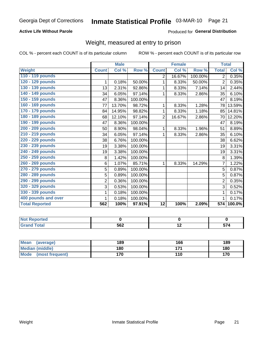### Inmate Statistical Profile 03-MAR-10 Page 21

### **Active Life Without Parole**

#### Produced for General Distribution

### Weight, measured at entry to prison

COL % - percent each COUNT is of its particular column

|                       |                | <b>Male</b> |         |                 | <b>Female</b> |         | <b>Total</b>     |        |
|-----------------------|----------------|-------------|---------|-----------------|---------------|---------|------------------|--------|
| <b>Weight</b>         | <b>Count</b>   | Col %       | Row %   | <b>Count</b>    | Col %         | Row %   | <b>Total</b>     | Col %  |
| 110 - 119 pounds      |                |             |         | 2               | 16.67%        | 100.00% | $\overline{2}$   | 0.35%  |
| 120 - 129 pounds      | 1              | 0.18%       | 50.00%  | 1               | 8.33%         | 50.00%  | $\overline{2}$   | 0.35%  |
| 130 - 139 pounds      | 13             | 2.31%       | 92.86%  | 1               | 8.33%         | 7.14%   | 14               | 2.44%  |
| 140 - 149 pounds      | 34             | 6.05%       | 97.14%  | 1               | 8.33%         | 2.86%   | 35               | 6.10%  |
| 150 - 159 pounds      | 47             | 8.36%       | 100.00% |                 |               |         | 47               | 8.19%  |
| 160 - 169 pounds      | 77             | 13.70%      | 98.72%  | 1               | 8.33%         | 1.28%   | 78               | 13.59% |
| 170 - 179 pounds      | 84             | 14.95%      | 98.82%  | 1               | 8.33%         | 1.18%   | 85               | 14.81% |
| 180 - 189 pounds      | 68             | 12.10%      | 97.14%  | $\overline{2}$  | 16.67%        | 2.86%   | 70               | 12.20% |
| 190 - 199 pounds      | 47             | 8.36%       | 100.00% |                 |               |         | 47               | 8.19%  |
| 200 - 209 pounds      | 50             | 8.90%       | 98.04%  | 1               | 8.33%         | 1.96%   | 51               | 8.89%  |
| 210 - 219 pounds      | 34             | 6.05%       | 97.14%  | 1               | 8.33%         | 2.86%   | 35               | 6.10%  |
| 220 - 229 pounds      | 38             | 6.76%       | 100.00% |                 |               |         | 38               | 6.62%  |
| 230 - 239 pounds      | 19             | 3.38%       | 100.00% |                 |               |         | 19               | 3.31%  |
| 240 - 249 pounds      | 19             | 3.38%       | 100.00% |                 |               |         | 19               | 3.31%  |
| 250 - 259 pounds      | 8              | 1.42%       | 100.00% |                 |               |         | 8                | 1.39%  |
| 260 - 269 pounds      | 6              | 1.07%       | 85.71%  | 1               | 8.33%         | 14.29%  | 7                | 1.22%  |
| 270 - 279 pounds      | 5              | 0.89%       | 100.00% |                 |               |         | 5                | 0.87%  |
| 280 - 289 pounds      | 5              | 0.89%       | 100.00% |                 |               |         | 5                | 0.87%  |
| 290 - 299 pounds      | $\overline{2}$ | 0.36%       | 100.00% |                 |               |         | $\overline{2}$   | 0.35%  |
| 320 - 329 pounds      | 3              | 0.53%       | 100.00% |                 |               |         | 3                | 0.52%  |
| 330 - 339 pounds      | 1              | 0.18%       | 100.00% |                 |               |         | 1                | 0.17%  |
| 400 pounds and over   | 1              | 0.18%       | 100.00% |                 |               |         | 1                | 0.17%  |
| <b>Total Reported</b> | 562            | 100%        | 97.91%  | $\overline{12}$ | 100%          | 2.09%   | $\overline{574}$ | 100.0% |

| <b>Reported</b><br>$\sim$ |     |     |       |
|---------------------------|-----|-----|-------|
| int<br>$\sim$             | 562 | . . | $- -$ |

| Mean<br>(average)              | 189 | 166   | 189 |
|--------------------------------|-----|-------|-----|
| <b>Median (middle)</b>         | 180 | 4 7 4 | 180 |
| <b>Mode</b><br>(most frequent) | 170 | 110   | 170 |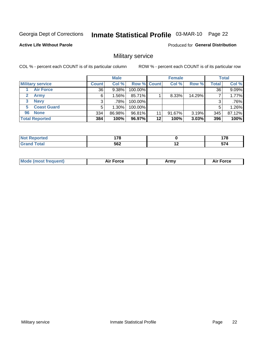# Inmate Statistical Profile 03-MAR-10 Page 22

#### **Active Life Without Parole**

Produced for General Distribution

### Military service

COL % - percent each COUNT is of its particular column

|                          |              | <b>Male</b> |                    |         | <b>Female</b> |          |       | <b>Total</b> |
|--------------------------|--------------|-------------|--------------------|---------|---------------|----------|-------|--------------|
| <b>Military service</b>  | <b>Count</b> | Col %       | <b>Row % Count</b> |         | Col %         | Row %    | Total | Col %        |
| <b>Air Force</b>         | 36           | 9.38%       | 100.00%            |         |               |          | 36    | 9.09%        |
| <b>Army</b>              | 6            | ا 56%. ا    | 85.71%             |         | 8.33%         | 14.29%   |       | 1.77%        |
| <b>Navy</b><br>3         |              | .78%        | 100.00%            |         |               |          | 3     | .76%         |
| <b>Coast Guard</b><br>5. | 5            | $1.30\%$    | 100.00%            |         |               |          | 5     | 1.26%        |
| <b>None</b><br>96        | 334          | 86.98%      | 96.81%             | 11      | 91.67%        | $3.19\%$ | 345   | 87.12%       |
| <b>Total Reported</b>    | 384          | 100%        | 96.97%             | $12 \,$ | 100%          | 3.03%    | 396   | 100%         |

| тeс   | $\overline{\phantom{a}}$ |                          | 470<br>$\sim$ |
|-------|--------------------------|--------------------------|---------------|
| _____ | 562                      | $\overline{\phantom{a}}$ | --<br>- 7     |

| ____ | <b>Mode</b><br>`auent) | <b>Force</b> | Army | orce |
|------|------------------------|--------------|------|------|
|------|------------------------|--------------|------|------|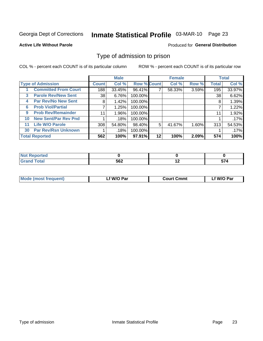# Inmate Statistical Profile 03-MAR-10 Page 23

#### **Active Life Without Parole**

#### Produced for General Distribution

### Type of admission to prison

COL % - percent each COUNT is of its particular column

|    |                             |              | <b>Male</b> |                    |         | <b>Female</b> |       |              | <b>Total</b> |
|----|-----------------------------|--------------|-------------|--------------------|---------|---------------|-------|--------------|--------------|
|    | <b>Type of Admission</b>    | <b>Count</b> | Col %       | <b>Row % Count</b> |         | Col %         | Row % | <b>Total</b> | Col %        |
|    | <b>Committed From Court</b> | 188          | 33.45%      | 96.41%             |         | 58.33%        | 3.59% | 195          | 33.97%       |
| 3  | <b>Parole Rev/New Sent</b>  | 38 l         | 6.76%       | 100.00%            |         |               |       | 38           | 6.62%        |
| 4  | <b>Par Rev/No New Sent</b>  | 8            | 1.42%       | 100.00%            |         |               |       | 8            | 1.39%        |
| 6  | <b>Prob Viol/Partial</b>    | 7            | 1.25%       | 100.00%            |         |               |       |              | 1.22%        |
| 9  | <b>Prob Rev/Remainder</b>   | 11           | 1.96%       | 100.00%            |         |               |       | 11           | 1.92%        |
| 10 | <b>New Sent/Par Rev Pnd</b> |              | .18%        | 100.00%            |         |               |       |              | .17%         |
| 11 | <b>Life W/O Parole</b>      | 308          | 54.80%      | 98.40%             | 5       | 41.67%        | 1.60% | 313          | 54.53%       |
| 30 | <b>Par Rev/Rsn Unknown</b>  |              | .18%        | 100.00%            |         |               |       |              | .17%         |
|    | <b>Total Reported</b>       | 562          | 100%        | $97.91\%$          | $12 \,$ | 100%          | 2.09% | 574          | 100%         |

| <b>Not Reported</b>  |     |             |
|----------------------|-----|-------------|
| <b>Total</b><br>Gran | 562 | -- 1<br>JI. |

| Mode (most frequent) | f W/O Par. | <b>Court Cmmt</b> | f W/O Par |
|----------------------|------------|-------------------|-----------|
|                      |            |                   |           |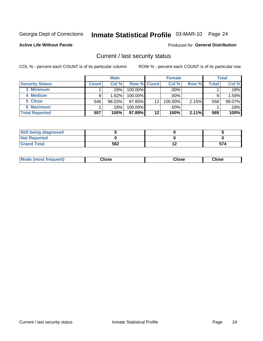# Inmate Statistical Profile 03-MAR-10 Page 24

**Active Life Without Parole** 

#### Produced for General Distribution

### Current / last security status

COL % - percent each COUNT is of its particular column

|                        |              | <b>Male</b> |                    |    | <b>Female</b> |       |       | <b>Total</b> |
|------------------------|--------------|-------------|--------------------|----|---------------|-------|-------|--------------|
| <b>Security Status</b> | <b>Count</b> | Col%        | <b>Row % Count</b> |    | Col %         | Row % | Total | Col %        |
| 3 Minimum              |              | .18%        | 100.00%            |    | $.00\%$       |       |       | $.18\%$      |
| 4 Medium               |              | 1.62%       | $100.00\%$         |    | $.00\%$       |       | 9     | 1.58%        |
| 5 Close                | 546          | 98.03%      | 97.85%             | 12 | 100.00%       | 2.15% | 558   | 98.07%       |
| 6 Maximum              |              | .18%        | 100.00%            |    | .00%          |       |       | .18%         |
| <b>Total Reported</b>  | 557          | 100%        | 97.89%             | 12 | 100%          | 2.11% | 569   | 100%         |

| <b>Still being diagnosed</b> |     |     |
|------------------------------|-----|-----|
| <b>Not Reported</b>          |     |     |
| <b>Grand Total</b>           | 562 | 574 |

|  | Mode<br>: (most frequent) | Close<br>- - - - | Close | Close |
|--|---------------------------|------------------|-------|-------|
|--|---------------------------|------------------|-------|-------|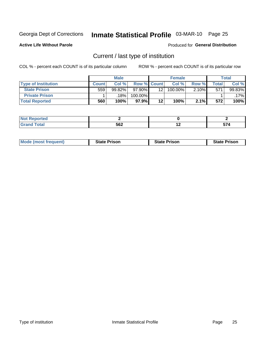# Inmate Statistical Profile 03-MAR-10 Page 25

**Active Life Without Parole** 

Produced for General Distribution

### Current / last type of institution

COL % - percent each COUNT is of its particular column

|                            |              | <b>Male</b> |                    |    | <b>Female</b> |       |                          | <b>Total</b> |
|----------------------------|--------------|-------------|--------------------|----|---------------|-------|--------------------------|--------------|
| <b>Type of Institution</b> | <b>Count</b> | Col %       | <b>Row % Count</b> |    | Col %         | Row % | $\mathsf{Total}_{\perp}$ | Col %        |
| <b>State Prison</b>        | 559          | 99.82%      | $97.90\%$          | 12 | 100.00%       | 2.10% | 571                      | 99.83%       |
| <b>Private Prison</b>      |              | 18%         | 100.00%            |    |               |       |                          | .17%l        |
| <b>Total Reported</b>      | 560          | 100%        | 97.9%              | 12 | 100%          | 2.1%  | 572                      | 100%         |

| <b>Shakes</b><br>τeα |     |            |      |
|----------------------|-----|------------|------|
| otal                 | 562 | . .<br>. . | -- - |

| <b>Mode (most frequent)</b> | <b>State Prison</b> | <b>State Prison</b> | <b>State Prison</b> |
|-----------------------------|---------------------|---------------------|---------------------|
|                             |                     |                     |                     |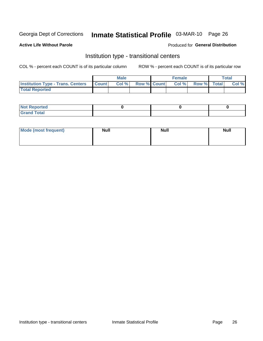# Inmate Statistical Profile 03-MAR-10 Page 26

#### **Active Life Without Parole**

#### Produced for General Distribution

### Institution type - transitional centers

COL % - percent each COUNT is of its particular column

|                                                  | <b>Male</b> |                    | <b>Female</b> |             | Total |
|--------------------------------------------------|-------------|--------------------|---------------|-------------|-------|
| <b>Institution Type - Trans. Centers Count  </b> | Col%        | <b>Row % Count</b> | Col %         | Row % Total | Col % |
| <b>Total Reported</b>                            |             |                    |               |             |       |

| <b>Reported</b><br><b>NOT</b><br>$\sim$            |  |  |
|----------------------------------------------------|--|--|
| $f$ $f \circ f \circ f$<br>$C = 1$<br><b>TULAI</b> |  |  |

| Mode (most frequent) | <b>Null</b> | <b>Null</b> | <b>Null</b> |
|----------------------|-------------|-------------|-------------|
|                      |             |             |             |
|                      |             |             |             |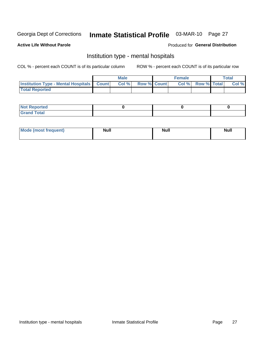# Inmate Statistical Profile 03-MAR-10 Page 27

#### **Active Life Without Parole**

#### Produced for General Distribution

### Institution type - mental hospitals

COL % - percent each COUNT is of its particular column

|                                                  | <b>Male</b> |                    | <b>Female</b> |                   | Total |
|--------------------------------------------------|-------------|--------------------|---------------|-------------------|-------|
| <b>Institution Type - Mental Hospitals Count</b> | Col%        | <b>Row % Count</b> |               | Col % Row % Total | Col%  |
| <b>Total Reported</b>                            |             |                    |               |                   |       |

| <b>Not Reported</b>                     |  |  |
|-----------------------------------------|--|--|
| <b>otal</b><br>C <sub>r</sub><br>______ |  |  |

| Mode.<br>frequent) | <b>Nul</b><br>_____ | <b>Null</b> | <b>Null</b> |
|--------------------|---------------------|-------------|-------------|
|                    |                     |             |             |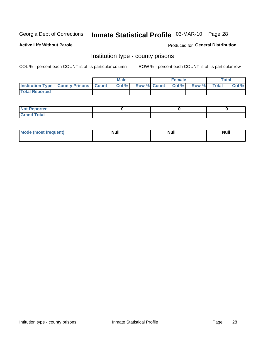# Inmate Statistical Profile 03-MAR-10 Page 28

**Active Life Without Parole** 

**Produced for General Distribution** 

### Institution type - county prisons

COL % - percent each COUNT is of its particular column

|                                                    | <b>Male</b> |                          | <b>Female</b> |             | <b>Total</b> |
|----------------------------------------------------|-------------|--------------------------|---------------|-------------|--------------|
| <b>Institution Type - County Prisons   Count  </b> | Col %       | <b>Row % Count Col %</b> |               | Row % Total | Col %        |
| <b>Total Reported</b>                              |             |                          |               |             |              |

| <b>Not Reported</b>         |  |  |
|-----------------------------|--|--|
| <b>Total</b><br>-<br>______ |  |  |

| <b>Mode</b>      | <b>Null</b> | <b>Null</b> | <b>Null</b> |  |
|------------------|-------------|-------------|-------------|--|
| (most freauent). |             |             |             |  |
|                  |             |             |             |  |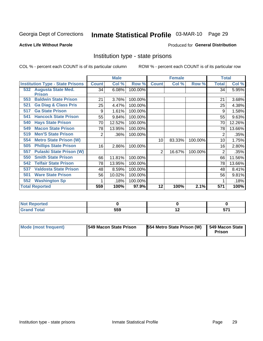# Inmate Statistical Profile 03-MAR-10 Page 29

#### **Active Life Without Parole**

#### Produced for General Distribution

### Institution type - state prisons

COL % - percent each COUNT is of its particular column

|                                         |              | <b>Male</b> |         |              | <b>Female</b> |         | <b>Total</b> |        |
|-----------------------------------------|--------------|-------------|---------|--------------|---------------|---------|--------------|--------|
| <b>Institution Type - State Prisons</b> | <b>Count</b> | Col %       | Row %   | <b>Count</b> | Col %         | Row %   | <b>Total</b> | Col %  |
| 532 Augusta State Med.                  | 34           | 6.08%       | 100.00% |              |               |         | 34           | 5.95%  |
| <b>Prison</b>                           |              |             |         |              |               |         |              |        |
| <b>Baldwin State Prison</b><br>553      | 21           | 3.76%       | 100.00% |              |               |         | 21           | 3.68%  |
| <b>Ga Diag &amp; Class Pris</b><br>521  | 25           | 4.47%       | 100.00% |              |               |         | 25           | 4.38%  |
| <b>Ga State Prison</b><br>517           | 9            | 1.61%       | 100.00% |              |               |         | 9            | 1.58%  |
| <b>Hancock State Prison</b><br>541      | 55           | 9.84%       | 100.00% |              |               |         | 55           | 9.63%  |
| <b>Hays State Prison</b><br>540         | 70           | 12.52%      | 100.00% |              |               |         | 70           | 12.26% |
| <b>Macon State Prison</b><br>549        | 78           | 13.95%      | 100.00% |              |               |         | 78           | 13.66% |
| <b>Men'S State Prison</b><br>519        | 2            | .36%        | 100.00% |              |               |         | 2            | .35%   |
| <b>Metro State Prison (W)</b><br>554    |              |             |         | 10           | 83.33%        | 100.00% | 10           | 1.75%  |
| <b>Phillips State Prison</b><br>505     | 16           | 2.86%       | 100.00% |              |               |         | 16           | 2.80%  |
| <b>Pulaski State Prison (W)</b><br>557  |              |             |         | 2            | 16.67%        | 100.00% | 2            | .35%   |
| <b>Smith State Prison</b><br>550        | 66           | 11.81%      | 100.00% |              |               |         | 66           | 11.56% |
| <b>Telfair State Prison</b><br>542      | 78           | 13.95%      | 100.00% |              |               |         | 78           | 13.66% |
| <b>Valdosta State Prison</b><br>537     | 48           | 8.59%       | 100.00% |              |               |         | 48           | 8.41%  |
| <b>Ware State Prison</b><br>501         | 56           | 10.02%      | 100.00% |              |               |         | 56           | 9.81%  |
| 552<br><b>Washington Sp</b>             |              | .18%        | 100.00% |              |               |         |              | .18%   |
| <b>Total Reported</b>                   | 559          | 100%        | 97.9%   | 12           | 100%          | 2.1%    | 571          | 100%   |

| <b>Not Reported</b> |     |     |    |
|---------------------|-----|-----|----|
| <b>Total</b>        | 559 | . . | ., |

| Mode (most frequent) | 1549 Macon State Prison | 554 Metro State Prison (W)   549 Macon State | Prison |
|----------------------|-------------------------|----------------------------------------------|--------|
|----------------------|-------------------------|----------------------------------------------|--------|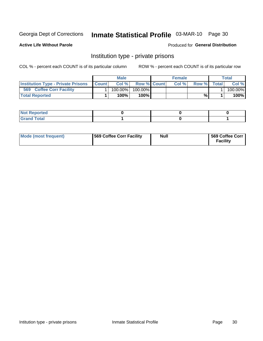# Inmate Statistical Profile 03-MAR-10 Page 30

**Active Life Without Parole** 

Produced for General Distribution

### Institution type - private prisons

COL % - percent each COUNT is of its particular column

|                                           |              | Male       |                    | <b>Female</b> |       |              | Total   |
|-------------------------------------------|--------------|------------|--------------------|---------------|-------|--------------|---------|
| <b>Institution Type - Private Prisons</b> | <b>Count</b> | Col%       | <b>Row % Count</b> | Col $%$       | Row % | <b>Total</b> | Col %   |
| 569<br><b>Coffee Corr Facility</b>        |              | $100.00\%$ | 100.00%            |               |       |              | 100.00% |
| <b>Total Reported</b>                     |              | $100\%$ .  | 100%               |               | %     |              | 100%    |

| Not Reported |  |  |
|--------------|--|--|
|              |  |  |

| Mode (most frequent) | 569 Coffee Corr Facility | <b>Null</b> | 569 Coffee Corr<br><b>Facility</b> |
|----------------------|--------------------------|-------------|------------------------------------|
|----------------------|--------------------------|-------------|------------------------------------|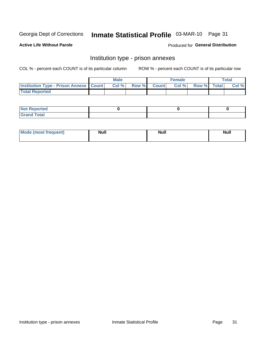# Inmate Statistical Profile 03-MAR-10 Page 31

**Active Life Without Parole** 

Produced for General Distribution

## Institution type - prison annexes

COL % - percent each COUNT is of its particular column

|                                                   | <b>Male</b> |              |              | <b>Female</b> |             | <b>Total</b> |
|---------------------------------------------------|-------------|--------------|--------------|---------------|-------------|--------------|
| <b>Institution Type - Prison Annexe   Count  </b> | Col %       | <b>Row %</b> | <b>Count</b> | Col %         | Row % Total | Col %        |
| <b>Total Reported</b>                             |             |              |              |               |             |              |

| <b>Reported</b><br>I NOT                      |  |  |
|-----------------------------------------------|--|--|
| <b>Total</b><br>Carar<br>$\sim$ . When $\sim$ |  |  |

| $^{\prime}$ Mo <sub>t</sub><br>frequent)<br>⊥(most | <b>Null</b> | Noll<br><b>vull</b> | <b>Null</b> |
|----------------------------------------------------|-------------|---------------------|-------------|
|                                                    |             |                     |             |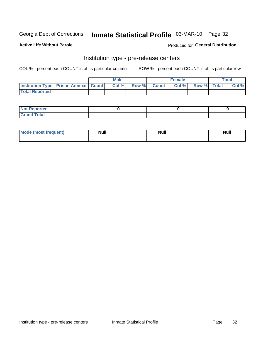# Inmate Statistical Profile 03-MAR-10 Page 32

**Active Life Without Parole** 

Produced for General Distribution

# Institution type - pre-release centers

COL % - percent each COUNT is of its particular column

|                                                   | <b>Male</b> |              |       | <b>Female</b> |                    | <b>Total</b> |
|---------------------------------------------------|-------------|--------------|-------|---------------|--------------------|--------------|
| <b>Institution Type - Prison Annexe   Count  </b> | Col %       | <b>Row %</b> | Count | Col %         | <b>Row %</b> Total | Col %        |
| <b>Total Reported</b>                             |             |              |       |               |                    |              |

| <b>Reported</b><br>I NOT |  |  |
|--------------------------|--|--|
| <b>Total</b><br>$C$ ren  |  |  |

| $^{\prime}$ Mo <sub>t</sub><br>frequent)<br>⊥(most | <b>Null</b> | Noll<br><b>vull</b> | <b>Null</b> |
|----------------------------------------------------|-------------|---------------------|-------------|
|                                                    |             |                     |             |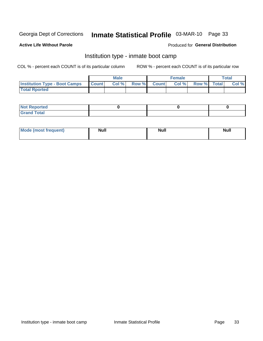# Inmate Statistical Profile 03-MAR-10 Page 33

#### **Active Life Without Parole**

#### Produced for General Distribution

### Institution type - inmate boot camp

COL % - percent each COUNT is of its particular column

|                                      |              | <b>Male</b> |             | <b>Female</b> |             | Total |
|--------------------------------------|--------------|-------------|-------------|---------------|-------------|-------|
| <b>Institution Type - Boot Camps</b> | <b>Count</b> | Col %       | Row % Count | Col %         | Row % Total | Col % |
| <b>Total Rported</b>                 |              |             |             |               |             |       |

| <b>Not Reported</b>            |  |  |
|--------------------------------|--|--|
| <b>Total</b><br>C <sub>r</sub> |  |  |

| <b>I Mode (most frequent)</b> | <b>Null</b> | <b>Null</b> | <b>Null</b> |
|-------------------------------|-------------|-------------|-------------|
|                               |             |             |             |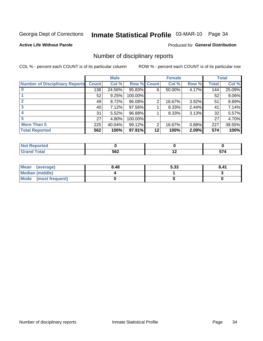# Inmate Statistical Profile 03-MAR-10 Page 34

**Active Life Without Parole** 

**Produced for General Distribution** 

### Number of disciplinary reports

COL % - percent each COUNT is of its particular column

|                                       |              | <b>Male</b> |                    |    | <b>Female</b> |       |              | <b>Total</b> |
|---------------------------------------|--------------|-------------|--------------------|----|---------------|-------|--------------|--------------|
| <b>Number of Disciplinary Reports</b> | <b>Count</b> | Col %       | <b>Row % Count</b> |    | Col %         | Row % | <b>Total</b> | Col %        |
|                                       | 138          | 24.56%      | 95.83%             | 6  | 50.00%        | 4.17% | 144          | 25.09%       |
|                                       | 52           | 9.25%       | 100.00%            |    |               |       | 52           | 9.06%        |
| $\mathbf{2}$                          | 49           | 8.72%       | 96.08%             | 2  | 16.67%        | 3.92% | 51           | 8.89%        |
| 3                                     | 40           | 7.12%       | 97.56%             |    | 8.33%         | 2.44% | 41           | 7.14%        |
|                                       | 31           | 5.52%       | 96.88%             |    | 8.33%         | 3.13% | 32           | 5.57%        |
| 5                                     | 27           | 4.80%       | 100.00%            |    |               |       | 27           | 4.70%        |
| <b>More Than 5</b>                    | 225          | 40.04%      | 99.12%             | 2  | 16.67%        | 0.88% | 227          | 39.55%       |
| <b>Total Reported</b>                 | 562          | 100%        | 97.91%             | 12 | 100%          | 2.09% | 574          | 100%         |

| N<br>тес     |     |             |            |
|--------------|-----|-------------|------------|
| <b>Total</b> | 562 | $\cdot$ $-$ | --<br>-- - |

| Mean (average)       | 8.48 | 5.33 | 8.41 |
|----------------------|------|------|------|
| Median (middle)      |      |      |      |
| Mode (most frequent) |      |      |      |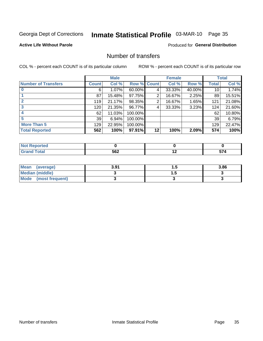# Inmate Statistical Profile 03-MAR-10 Page 35

**Active Life Without Parole** 

**Produced for General Distribution** 

### Number of transfers

COL % - percent each COUNT is of its particular column

|                            |              | <b>Male</b> |             |    | <b>Female</b> |        |                 | <b>Total</b> |
|----------------------------|--------------|-------------|-------------|----|---------------|--------|-----------------|--------------|
| <b>Number of Transfers</b> | <b>Count</b> | Col %       | Row % Count |    | Col %         | Row %  | <b>Total</b>    | Col %        |
|                            | 6            | $1.07\%$    | 60.00%      | 4  | 33.33%        | 40.00% | 10 <sub>1</sub> | 1.74%        |
|                            | 87           | 15.48%      | 97.75%      | 2  | 16.67%        | 2.25%  | 89              | 15.51%       |
| $\mathbf{2}$               | 119          | 21.17%      | 98.35%      | 2  | 16.67%        | 1.65%  | 121             | 21.08%       |
| 3                          | 120          | 21.35%      | 96.77%      | 4  | 33.33%        | 3.23%  | 124             | 21.60%       |
|                            | 62           | 11.03%      | 100.00%     |    |               |        | 62              | 10.80%       |
| 5                          | 39           | 6.94%       | 100.00%     |    |               |        | 39              | 6.79%        |
| <b>More Than 5</b>         | 129          | 22.95%      | 100.00%     |    |               |        | 129             | 22.47%       |
| <b>Total Reported</b>      | 562          | 100%        | 97.91%      | 12 | 100%          | 2.09%  | 574             | 100%         |

| orted<br>NO |     |    |    |
|-------------|-----|----|----|
|             | 562 | -- | -- |

| Mean (average)       | 3.91 | . . | 3.86 |
|----------------------|------|-----|------|
| Median (middle)      |      |     |      |
| Mode (most frequent) |      |     |      |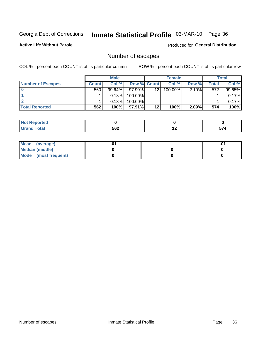# Inmate Statistical Profile 03-MAR-10 Page 36

**Active Life Without Parole** 

Produced for General Distribution

### Number of escapes

COL % - percent each COUNT is of its particular column

|                          |              | <b>Male</b> |                    |                 | <b>Female</b> |          |       | Total  |
|--------------------------|--------------|-------------|--------------------|-----------------|---------------|----------|-------|--------|
| <b>Number of Escapes</b> | <b>Count</b> | Col%        | <b>Row % Count</b> |                 | Col %         | Row %    | Total | Col %  |
|                          | 560          | $99.64\%$   | $97.90\%$          | 12 <sup>2</sup> | $100.00\%$    | $2.10\%$ | 572   | 99.65% |
|                          |              | 0.18%       | 100.00%            |                 |               |          |       | 0.17%  |
|                          |              | 0.18%       | 100.00%            |                 |               |          |       | 0.17%  |
| <b>Total Reported</b>    | 562          | 100%        | $97.91\%$          | 12              | 100%          | 2.09%    | 574   | 100%   |

| <b>orted</b><br><b>NOT</b><br>∍⊼eper |     |     |      |
|--------------------------------------|-----|-----|------|
| <b>fotal</b><br>Grand                | 562 | . . | -- - |

| Mean (average)       |  | .01 |
|----------------------|--|-----|
| Median (middle)      |  |     |
| Mode (most frequent) |  |     |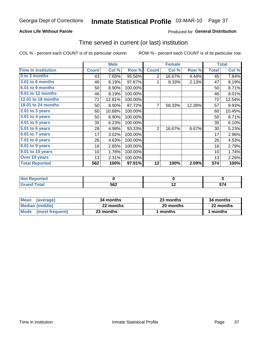#### **Active Life Without Parole**

### **Produced for General Distribution**

### Time served in current (or last) institution

COL % - percent each COUNT is of its particular column

|                            |              | <b>Male</b> |         |              | <b>Female</b> |        |                  | <b>Total</b> |
|----------------------------|--------------|-------------|---------|--------------|---------------|--------|------------------|--------------|
| <b>Time In Institution</b> | <b>Count</b> | Col %       | Row %   | <b>Count</b> | Col %         | Row %  | <b>Total</b>     | Col %        |
| 0 to 3 months              | 43           | 7.65%       | 95.56%  | 2            | 16.67%        | 4.44%  | 45               | 7.84%        |
| 3.01 to 6 months           | 46           | 8.19%       | 97.87%  | 1            | 8.33%         | 2.13%  | 47               | 8.19%        |
| 6.01 to 9 months           | 50           | 8.90%       | 100.00% |              |               |        | 50               | 8.71%        |
| 9.01 to 12 months          | 46           | 8.19%       | 100.00% |              |               |        | 46               | 8.01%        |
| 12.01 to 18 months         | 72           | 12.81%      | 100.00% |              |               |        | 72               | 12.54%       |
| <b>18.01 to 24 months</b>  | 50           | 8.90%       | 87.72%  | 7            | 58.33%        | 12.28% | 57               | 9.93%        |
| $2.01$ to 3 years          | 60           | 10.68%      | 100.00% |              |               |        | 60               | 10.45%       |
| $3.01$ to 4 years          | 50           | 8.90%       | 100.00% |              |               |        | 50               | 8.71%        |
| $4.01$ to 5 years          | 35           | 6.23%       | 100.00% |              |               |        | 35               | 6.10%        |
| 5.01 to 6 years            | 28           | 4.98%       | 93.33%  | 2            | 16.67%        | 6.67%  | 30               | 5.23%        |
| 6.01 to 7 years            | 17           | 3.02%       | 100.00% |              |               |        | 17               | 2.96%        |
| 7.01 to 8 years            | 26           | 4.63%       | 100.00% |              |               |        | 26               | 4.53%        |
| 8.01 to 9 years            | 16           | 2.85%       | 100.00% |              |               |        | 16               | 2.79%        |
| 9.01 to 10 years           | 10           | 1.78%       | 100.00% |              |               |        | 10               | 1.74%        |
| Over 10 years              | 13           | 2.31%       | 100.00% |              |               |        | 13               | 2.26%        |
| <b>Total Reported</b>      | 562          | 100%        | 97.91%  | 12           | 100%          | 2.09%  | $\overline{574}$ | 100%         |

| <b>Not</b><br><b>Reported</b> |     |     |          |
|-------------------------------|-----|-----|----------|
| <b>Total</b>                  | 562 | . . | --<br>JI |

| <b>Mean</b><br>(average) | 34 months | 23 months | 34 months |
|--------------------------|-----------|-----------|-----------|
| Median (middle)          | 22 months | 20 months | 22 months |
| Mode (most frequent)     | 23 months | 1 months  | 1 months  |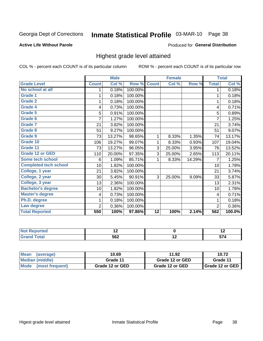# Inmate Statistical Profile 03-MAR-10 Page 38

#### **Active Life Without Parole**

#### Produced for General Distribution

### Highest grade level attained

COL % - percent each COUNT is of its particular column

|                              |                 | <b>Male</b> |         |                 | <b>Female</b> |        |                | <b>Total</b> |
|------------------------------|-----------------|-------------|---------|-----------------|---------------|--------|----------------|--------------|
| <b>Grade Level</b>           | <b>Count</b>    | Col %       | Row %   | <b>Count</b>    | Col %         | Row %  | <b>Total</b>   | Col %        |
| No school at all             | 1               | 0.18%       | 100.00% |                 |               |        | 1              | 0.18%        |
| <b>Grade 1</b>               |                 | 0.18%       | 100.00% |                 |               |        | 1              | 0.18%        |
| <b>Grade 2</b>               | 1               | 0.18%       | 100.00% |                 |               |        | 1              | 0.18%        |
| Grade 4                      | 4               | 0.73%       | 100.00% |                 |               |        | 4              | 0.71%        |
| Grade 5                      | 5               | 0.91%       | 100.00% |                 |               |        | 5              | 0.89%        |
| Grade 6                      | 7               | 1.27%       | 100.00% |                 |               |        | $\overline{7}$ | 1.25%        |
| <b>Grade 7</b>               | 21              | 3.82%       | 100.00% |                 |               |        | 21             | 3.74%        |
| <b>Grade 8</b>               | 51              | 9.27%       | 100.00% |                 |               |        | 51             | 9.07%        |
| <b>Grade 9</b>               | 73              | 13.27%      | 98.65%  | 1               | 8.33%         | 1.35%  | 74             | 13.17%       |
| Grade 10                     | 106             | 19.27%      | 99.07%  | 1               | 8.33%         | 0.93%  | 107            | 19.04%       |
| Grade 11                     | 73              | 13.27%      | 96.05%  | 3               | 25.00%        | 3.95%  | 76             | 13.52%       |
| <b>Grade 12 or GED</b>       | 110             | 20.00%      | 97.35%  | 3               | 25.00%        | 2.65%  | 113            | 20.11%       |
| <b>Some tech school</b>      | 6               | 1.09%       | 85.71%  | 1               | 8.33%         | 14.29% | 7              | 1.25%        |
| <b>Completed tech school</b> | 10 <sup>1</sup> | 1.82%       | 100.00% |                 |               |        | 10             | 1.78%        |
| College, 1 year              | 21              | 3.82%       | 100.00% |                 |               |        | 21             | 3.74%        |
| College, 2 year              | 30              | 5.45%       | 90.91%  | 3               | 25.00%        | 9.09%  | 33             | 5.87%        |
| College, 3 year              | 13              | 2.36%       | 100.00% |                 |               |        | 13             | 2.31%        |
| <b>Bachelor's degree</b>     | 10              | 1.82%       | 100.00% |                 |               |        | 10             | 1.78%        |
| <b>Master's degree</b>       | 4               | 0.73%       | 100.00% |                 |               |        | 4              | 0.71%        |
| Ph.D. degree                 | 1               | 0.18%       | 100.00% |                 |               |        | 1              | 0.18%        |
| Law degree                   | 2               | 0.36%       | 100.00% |                 |               |        | $\overline{2}$ | 0.36%        |
| <b>Total Reported</b>        | 550             | 100%        | 97.86%  | $\overline{12}$ | 100%          | 2.14%  | 562            | 100.0%       |

| onred | $\sim$ |    | $\overline{\phantom{a}}$ |
|-------|--------|----|--------------------------|
|       | 562    | -- |                          |

| Mean (average)       | 10.69           | 11.92           | 10.72             |
|----------------------|-----------------|-----------------|-------------------|
| Median (middle)      | Grade 11        | Grade 12 or GED | Grade 11          |
| Mode (most frequent) | Grade 12 or GED | Grade 12 or GED | I Grade 12 or GED |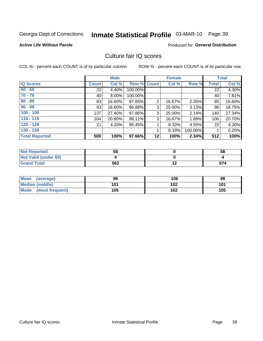# Inmate Statistical Profile 03-MAR-10 Page 39

#### **Active Life Without Parole**

#### **Produced for General Distribution**

### Culture fair IQ scores

COL % - percent each COUNT is of its particular column

|                       |              | <b>Male</b> |                    |                | <b>Female</b> |          |              | <b>Total</b> |
|-----------------------|--------------|-------------|--------------------|----------------|---------------|----------|--------------|--------------|
| <b>IQ Scores</b>      | <b>Count</b> | Col %       | <b>Row % Count</b> |                | Col %         | Row %    | <b>Total</b> | Col %        |
| $60 - 69$             | 22           | 4.40%       | 100.00%            |                |               |          | 22           | 4.30%        |
| $70 - 79$             | 40           | 8.00%       | 100.00%            |                |               |          | 40           | 7.81%        |
| $80 - 89$             | 83           | 16.60%      | 97.65%             | $\overline{2}$ | 16.67%        | 2.35%    | 85           | 16.60%       |
| $90 - 99$             | 93           | 18.60%      | 96.88%             | 3              | 25.00%        | $3.13\%$ | 96           | 18.75%       |
| $100 - 109$           | 137          | 27.40%      | 97.86%             | 3              | 25.00%        | 2.14%    | 140          | 27.34%       |
| $110 - 119$           | 104          | 20.80%      | 98.11%             | 2              | 16.67%        | 1.89%    | 106          | 20.70%       |
| $120 - 129$           | 21           | 4.20%       | 95.45%             |                | 8.33%         | 4.55%    | 22           | 4.30%        |
| $130 - 139$           |              |             |                    | 1              | 8.33%         | 100.00%  |              | 0.20%        |
| <b>Total Reported</b> | 500          | 100%        | 97.66%             | 12             | 100%          | 2.34%    | 512          | 100%         |

| <b>Not Reported</b>  | 58  | 58  |
|----------------------|-----|-----|
| Not Valid (under 60) |     |     |
| <b>Grand Total</b>   | 562 | 574 |

| <b>Mean</b><br>(average) | 98  | 106 | 98  |
|--------------------------|-----|-----|-----|
| <b>Median (middle)</b>   | 101 | 102 | 101 |
| Mode<br>(most frequent)  | 105 | 102 | 105 |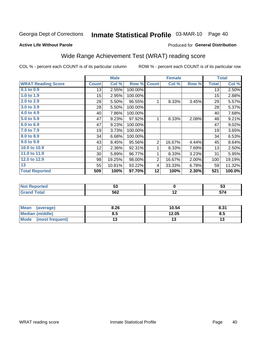# Inmate Statistical Profile 03-MAR-10 Page 40

#### **Active Life Without Parole**

### Produced for General Distribution

## Wide Range Achievement Test (WRAT) reading score

COL % - percent each COUNT is of its particular column

|                           |                  | <b>Male</b> |         |                | <b>Female</b> |       |              | <b>Total</b> |
|---------------------------|------------------|-------------|---------|----------------|---------------|-------|--------------|--------------|
| <b>WRAT Reading Score</b> | <b>Count</b>     | Col %       | Row %   | <b>Count</b>   | Col %         | Row % | <b>Total</b> | Col %        |
| $0.1$ to $0.9$            | 13               | 2.55%       | 100.00% |                |               |       | 13           | 2.50%        |
| 1.0 to 1.9                | 15 <sub>15</sub> | 2.95%       | 100.00% |                |               |       | 15           | 2.88%        |
| 2.0 to 2.9                | 28               | 5.50%       | 96.55%  | 1              | 8.33%         | 3.45% | 29           | 5.57%        |
| 3.0 to 3.9                | 28               | 5.50%       | 100.00% |                |               |       | 28           | 5.37%        |
| 4.0 to 4.9                | 40               | 7.86%       | 100.00% |                |               |       | 40           | 7.68%        |
| 5.0 to 5.9                | 47               | 9.23%       | 97.92%  | 1              | 8.33%         | 2.08% | 48           | 9.21%        |
| 6.0 to 6.9                | 47               | 9.23%       | 100.00% |                |               |       | 47           | 9.02%        |
| 7.0 to 7.9                | 19               | 3.73%       | 100.00% |                |               |       | 19           | 3.65%        |
| 8.0 to 8.9                | 34               | 6.68%       | 100.00% |                |               |       | 34           | 6.53%        |
| 9.0 to 9.9                | 43               | 8.45%       | 95.56%  | $\overline{2}$ | 16.67%        | 4.44% | 45           | 8.64%        |
| 10.0 to 10.9              | 12               | 2.36%       | 92.31%  | 1              | 8.33%         | 7.69% | 13           | 2.50%        |
| 11.0 to 11.9              | $30$             | 5.89%       | 96.77%  | 1              | 8.33%         | 3.23% | 31           | 5.95%        |
| 12.0 to 12.9              | 98               | 19.25%      | 98.00%  | $\overline{2}$ | 16.67%        | 2.00% | 100          | 19.19%       |
| 13                        | 55               | 10.81%      | 93.22%  | 4              | 33.33%        | 6.78% | 59           | 11.32%       |
| <b>Total Reported</b>     | 509              | 100%        | 97.70%  | 12             | 100%          | 2.30% | 521          | 100.0%       |

| <b>Not Reported</b>    | JJ  |     | v,       |
|------------------------|-----|-----|----------|
| <b>Total</b><br>'Grand | 562 | . . | --<br>vı |

| <b>Mean</b><br>(average) | 8.26 | 10.54 | 8.31 |
|--------------------------|------|-------|------|
| Median (middle)          | ช.ว  | 12.05 | ၓ.๖  |
| Mode<br>(most frequent)  | . J  |       | 13   |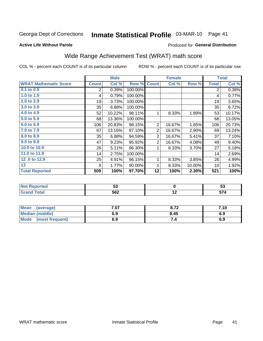#### Inmate Statistical Profile 03-MAR-10 Page 41

**Active Life Without Parole** 

#### Produced for General Distribution

### Wide Range Achievement Test (WRAT) math score

COL % - percent each COUNT is of its particular column

ROW % - percent each COUNT is of its particular row

 $\overline{12}$ 

|                              |              | <b>Male</b> |         |                | <b>Female</b> |        |              | <b>Total</b> |
|------------------------------|--------------|-------------|---------|----------------|---------------|--------|--------------|--------------|
| <b>WRAT Mathematic Score</b> | <b>Count</b> | Col %       | Row %   | <b>Count</b>   | Col %         | Row %  | <b>Total</b> | Col %        |
| $0.1$ to $0.9$               | 2            | 0.39%       | 100.00% |                |               |        | 2            | 0.38%        |
| 1.0 to 1.9                   | 4            | 0.79%       | 100.00% |                |               |        | 4            | 0.77%        |
| 2.0 to 2.9                   | 19           | 3.73%       | 100.00% |                |               |        | 19           | 3.65%        |
| 3.0 to 3.9                   | 35           | 6.88%       | 100.00% |                |               |        | 35           | 6.72%        |
| 4.0 to 4.9                   | 52           | 10.22%      | 98.11%  | 1              | 8.33%         | 1.89%  | 53           | 10.17%       |
| 5.0 to 5.9                   | 68           | 13.36%      | 100.00% |                |               |        | 68           | 13.05%       |
| 6.0 to 6.9                   | 106          | 20.83%      | 98.15%  | $\overline{2}$ | 16.67%        | 1.85%  | 108          | 20.73%       |
| 7.0 to 7.9                   | 67           | 13.16%      | 97.10%  | $\overline{2}$ | 16.67%        | 2.90%  | 69           | 13.24%       |
| 8.0 to 8.9                   | 35           | 6.88%       | 94.59%  | $\overline{2}$ | 16.67%        | 5.41%  | 37           | 7.10%        |
| 9.0 to 9.9                   | 47           | 9.23%       | 95.92%  | $\overline{2}$ | 16.67%        | 4.08%  | 49           | 9.40%        |
| 10.0 to 10.9                 | 26           | 5.11%       | 96.30%  | 1              | 8.33%         | 3.70%  | 27           | 5.18%        |
| 11.0 to 11.9                 | 14           | 2.75%       | 100.00% |                |               |        | 14           | 2.69%        |
| 12.0 to 12.9                 | 25           | 4.91%       | 96.15%  | 1              | 8.33%         | 3.85%  | 26           | 4.99%        |
| 13                           | 9            | 1.77%       | 90.00%  | 1              | 8.33%         | 10.00% | 10           | 1.92%        |
| <b>Total Reported</b>        | 509          | 100%        | 97.70%  | 12             | 100%          | 2.30%  | 521          | 100%         |
|                              |              |             |         |                |               |        |              |              |
| <b>Not Reported</b>          |              | 53          |         |                | $\mathbf 0$   |        |              | 53           |

| Mean<br>(average)       | 4.07 | 8.72 | 7.10 |
|-------------------------|------|------|------|
| Median (middle)         | 6.9  | 8.45 | 6.9  |
| Mode<br>(most frequent) | 6.9  | ٠.   | 6.9  |

 $562$ 

**Grand Total** 

 $574$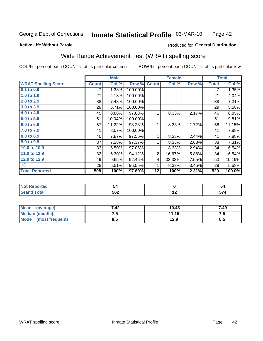#### Inmate Statistical Profile 03-MAR-10 Page 42

#### **Active Life Without Parole**

#### Produced for General Distribution

## Wide Range Achievement Test (WRAT) spelling score

COL % - percent each COUNT is of its particular column

|                            |              | <b>Male</b> |         |              | <b>Female</b>   |       |              | <b>Total</b> |
|----------------------------|--------------|-------------|---------|--------------|-----------------|-------|--------------|--------------|
| <b>WRAT Spelling Score</b> | <b>Count</b> | Col %       | Row %   | <b>Count</b> | Col %           | Row % | <b>Total</b> | Col %        |
| 0.1 to 0.9                 | 7            | 1.38%       | 100.00% |              |                 |       | 7            | 1.35%        |
| 1.0 to 1.9                 | 21           | 4.13%       | 100.00% |              |                 |       | 21           | 4.04%        |
| 2.0 to 2.9                 | 38           | 7.48%       | 100.00% |              |                 |       | 38           | 7.31%        |
| 3.0 to 3.9                 | 29           | 5.71%       | 100.00% |              |                 |       | 29           | 5.58%        |
| 4.0 to 4.9                 | 45           | 8.86%       | 97.83%  | 1            | 8.33%           | 2.17% | 46           | 8.85%        |
| 5.0 to 5.9                 | 51           | 10.04%      | 100.00% |              |                 |       | 51           | 9.81%        |
| 6.0 to 6.9                 | 57           | 11.22%      | 98.28%  | 1            | 8.33%           | 1.72% | 58           | 11.15%       |
| 7.0 to 7.9                 | 41           | 8.07%       | 100.00% |              |                 |       | 41           | 7.88%        |
| 8.0 to 8.9                 | 40           | 7.87%       | 97.56%  | 1            | 8.33%           | 2.44% | 41           | 7.88%        |
| 9.0 to 9.9                 | 37           | 7.28%       | 97.37%  | 1            | 8.33%           | 2.63% | 38           | 7.31%        |
| 10.0 to 10.9               | 33           | 6.50%       | 97.06%  | 1            | 8.33%           | 2.94% | 34           | 6.54%        |
| 11.0 to 11.9               | 32           | 6.30%       | 94.12%  | 2            | 16.67%          | 5.88% | 34           | 6.54%        |
| 12.0 to 12.9               | 49           | 9.65%       | 92.45%  | 4            | 33.33%          | 7.55% | 53           | 10.19%       |
| 13                         | 28           | 5.51%       | 96.55%  | 1            | 8.33%           | 3.45% | 29           | 5.58%        |
| <b>Total Reported</b>      | 508          | 100%        | 97.69%  | 12           | 100%            | 2.31% | 520          | 100.0%       |
|                            |              |             |         |              |                 |       |              |              |
| <b>Not Reported</b>        |              | 54          |         |              | $\mathbf 0$     |       |              | 54           |
| <b>Grand Total</b>         |              | 562         |         |              | $\overline{12}$ |       |              | 574          |

| Mean<br>(average)              | 7.42 | 10.43 | 7.49 |
|--------------------------------|------|-------|------|
| <b>Median (middle)</b>         | ن. ا | 11.15 | .    |
| <b>Mode</b><br>(most frequent) | 8.5  | 12.9  | ၓ.Ე  |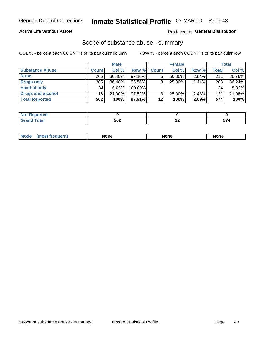#### **Active Life Without Parole**

### **Produced for General Distribution**

### Scope of substance abuse - summary

COL % - percent each COUNT is of its particular column

|                        |              | <b>Male</b> |           |              | <b>Female</b> |          |       | Total  |
|------------------------|--------------|-------------|-----------|--------------|---------------|----------|-------|--------|
| <b>Substance Abuse</b> | <b>Count</b> | Col %       | Row %     | <b>Count</b> | Col %         | Row %    | Total | Col %  |
| <b>None</b>            | 205          | 36.48%      | 97.16%    | 6            | 50.00%        | $2.84\%$ | 211   | 36.76% |
| <b>Drugs only</b>      | 205          | 36.48%      | 98.56%    |              | 25.00%        | 1.44%    | 208   | 36.24% |
| <b>Alcohol only</b>    | 34           | $6.05\%$    | 100.00%   |              |               |          | 34    | 5.92%  |
| Drugs and alcohol      | 118          | $21.00\%$   | $97.52\%$ |              | 25.00%        | 2.48%    | 121   | 21.08% |
| <b>Total Reported</b>  | 562          | 100%        | $97.91\%$ | 12           | 100%          | 2.09%    | 574   | 100%   |

| <b>Not</b><br>Reported       |     |  |
|------------------------------|-----|--|
| <b>Total</b><br><b>Grand</b> | 562 |  |

| nuem | <b>Mo</b> | None | <b>None</b> | None |
|------|-----------|------|-------------|------|
|------|-----------|------|-------------|------|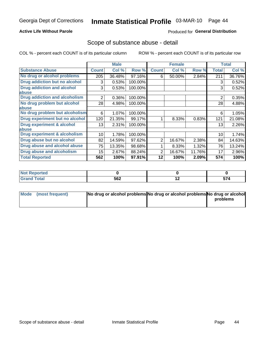#### **Active Life Without Parole**

#### Produced for General Distribution

### Scope of substance abuse - detail

COL % - percent each COUNT is of its particular column

|                                         |                | <b>Male</b> |         |              | <b>Female</b> |        |                | <b>Total</b> |
|-----------------------------------------|----------------|-------------|---------|--------------|---------------|--------|----------------|--------------|
| <b>Substance Abuse</b>                  | <b>Count</b>   | Col %       | Row %   | <b>Count</b> | Col %         | Row %  | <b>Total</b>   | Col %        |
| No drug or alcohol problems             | 205            | 36.48%      | 97.16%  | 6            | 50.00%        | 2.84%  | 211            | 36.76%       |
| Drug addiction but no alcohol           | 3              | 0.53%       | 100.00% |              |               |        | 3              | 0.52%        |
| <b>Drug addiction and alcohol</b>       | 3              | 0.53%       | 100.00% |              |               |        | 3              | 0.52%        |
| abuse                                   |                |             |         |              |               |        |                |              |
| <b>Drug addiction and alcoholism</b>    | $\overline{2}$ | 0.36%       | 100.00% |              |               |        | $\overline{2}$ | 0.35%        |
| No drug problem but alcohol             | 28             | 4.98%       | 100.00% |              |               |        | 28             | 4.88%        |
| abuse                                   |                |             |         |              |               |        |                |              |
| No drug problem but alcoholism          | 6              | 1.07%       | 100.00% |              |               |        | 6              | 1.05%        |
| Drug experiment but no alcohol          | 120            | 21.35%      | 99.17%  |              | 8.33%         | 0.83%  | 121            | 21.08%       |
| <b>Drug experiment &amp; alcohol</b>    | 13             | 2.31%       | 100.00% |              |               |        | 13             | 2.26%        |
| abuse                                   |                |             |         |              |               |        |                |              |
| <b>Drug experiment &amp; alcoholism</b> | 10             | 1.78%       | 100.00% |              |               |        | 10             | 1.74%        |
| Drug abuse but no alcohol               | 82             | 14.59%      | 97.62%  | 2            | 16.67%        | 2.38%  | 84             | 14.63%       |
| Drug abuse and alcohol abuse            | 75             | 13.35%      | 98.68%  |              | 8.33%         | 1.32%  | 76             | 13.24%       |
| <b>Drug abuse and alcoholism</b>        | 15             | 2.67%       | 88.24%  | 2            | 16.67%        | 11.76% | 17             | 2.96%        |
| <b>Total Reported</b>                   | 562            | 100%        | 97.91%  | 12           | 100%          | 2.09%  | 574            | 100%         |

| ported<br>NOT        |             |                          |      |
|----------------------|-------------|--------------------------|------|
| $\sim$ $\sim$ $\sim$ | 562<br>$ -$ | $\overline{\phantom{0}}$ | -- - |

| Mode (most frequent) | No drug or alcohol problems No drug or alcohol problems No drug or alcohol |          |
|----------------------|----------------------------------------------------------------------------|----------|
|                      |                                                                            | problems |
|                      |                                                                            |          |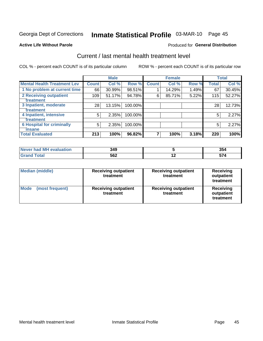# Inmate Statistical Profile 03-MAR-10 Page 45

#### **Active Life Without Parole**

#### Produced for General Distribution

## Current / last mental health treatment level

COL % - percent each COUNT is of its particular column

|                                    |              | <b>Male</b> |         |              | <b>Female</b> |       |              | <b>Total</b> |
|------------------------------------|--------------|-------------|---------|--------------|---------------|-------|--------------|--------------|
| <b>Mental Health Treatment Lev</b> | <b>Count</b> | Col %       | Row %   | <b>Count</b> | Col %         | Row % | <b>Total</b> | Col %        |
| 1 No problem at current time       | 66           | 30.99%      | 98.51%  |              | 14.29%        | 1.49% | 67           | 30.45%       |
| 2 Receiving outpatient             | 109          | 51.17%      | 94.78%  | 6            | 85.71%        | 5.22% | 115          | 52.27%       |
| <b>Treatment</b>                   |              |             |         |              |               |       |              |              |
| 3 Inpatient, moderate              | 28           | 13.15%      | 100.00% |              |               |       | 28           | 12.73%       |
| Treatment                          |              |             |         |              |               |       |              |              |
| 4 Inpatient, intensive             | 5            | 2.35%       | 100.00% |              |               |       | 5            | 2.27%        |
| Treatment                          |              |             |         |              |               |       |              |              |
| <b>6 Hospital for criminally</b>   | 5            | 2.35%       | 100.00% |              |               |       | 5            | 2.27%        |
| Tinsane                            |              |             |         |              |               |       |              |              |
| <b>Total Evaluated</b>             | 213          | 100%        | 96.82%  |              | 100%          | 3.18% | 220          | 100%         |

| evaluation<br>-M'<br>Never I<br>nan | 349 |     | 2E<br>აე 4   |
|-------------------------------------|-----|-----|--------------|
|                                     | 562 | . . | --<br>$\sim$ |

| <b>Median (middle)</b>  | <b>Receiving outpatient</b><br>treatment | <b>Receiving outpatient</b><br>treatment | <b>Receiving</b><br>outpatient<br>treatment |  |
|-------------------------|------------------------------------------|------------------------------------------|---------------------------------------------|--|
| Mode<br>(most frequent) | <b>Receiving outpatient</b><br>treatment | <b>Receiving outpatient</b><br>treatment | <b>Receiving</b><br>outpatient<br>treatment |  |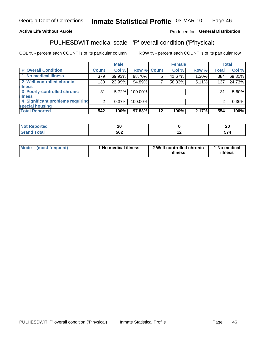#### Inmate Statistical Profile 03-MAR-10 Page 46

#### **Active Life Without Parole**

#### Produced for General Distribution

## PULHESDWIT medical scale - 'P' overall condition ('P'hysical)

COL % - percent each COUNT is of its particular column

|                                  |                | <b>Male</b> |             |         | <b>Female</b> |       |              | <b>Total</b> |
|----------------------------------|----------------|-------------|-------------|---------|---------------|-------|--------------|--------------|
| 'P' Overall Condition            | Count l        | Col %       | Row % Count |         | Col %         | Row % | <b>Total</b> | Col %        |
| 1 No medical illness             | 379            | 69.93%      | 98.70%      | 5       | 41.67%        | 1.30% | 384          | 69.31%       |
| 2 Well-controlled chronic        | 130            | 23.99%      | 94.89%      |         | 58.33%        | 5.11% | 137          | 24.73%       |
| <b>illness</b>                   |                |             |             |         |               |       |              |              |
| 3 Poorly-controlled chronic      | 31             | 5.72%       | 100.00%     |         |               |       | 31           | 5.60%        |
| <b>illness</b>                   |                |             |             |         |               |       |              |              |
| 4 Significant problems requiring | 2 <sub>1</sub> | $0.37\%$    | 100.00%     |         |               |       | 2            | 0.36%        |
| special housing                  |                |             |             |         |               |       |              |              |
| <b>Total Reported</b>            | 542            | 100%        | 97.83%      | $12 \,$ | 100%          | 2.17% | 554          | 100%         |

|       | n,<br>Zv<br>__ |                          | - -<br>ZU |
|-------|----------------|--------------------------|-----------|
| _____ | 562<br>ິບບ∠    | $\overline{\phantom{0}}$ | --        |

| <b>Mode</b> | (most frequent) | 1 No medical illness | 2 Well-controlled chronic<br>illness | 1 No medical<br>illness |
|-------------|-----------------|----------------------|--------------------------------------|-------------------------|
|-------------|-----------------|----------------------|--------------------------------------|-------------------------|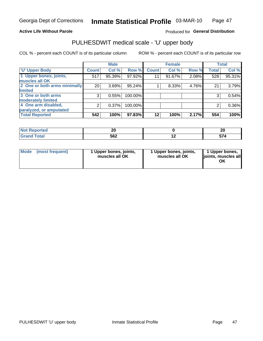#### **Active Life Without Parole**

### Produced for General Distribution

# PULHESDWIT medical scale - 'U' upper body

COL % - percent each COUNT is of its particular column

|                              |                | <b>Male</b> |         |              | <b>Female</b> |       |              | <b>Total</b> |
|------------------------------|----------------|-------------|---------|--------------|---------------|-------|--------------|--------------|
| <b>'U' Upper Body</b>        | <b>Count</b>   | Col %       | Row %   | <b>Count</b> | Col %         | Row % | <b>Total</b> | Col %        |
| 1 Upper bones, joints,       | 517            | 95.39%      | 97.92%  | 11           | 91.67%        | 2.08% | 528          | 95.31%       |
| muscles all OK               |                |             |         |              |               |       |              |              |
| 2 One or both arms minimally | 20             | 3.69%       | 95.24%  |              | 8.33%         | 4.76% | 21           | 3.79%        |
| <b>limited</b>               |                |             |         |              |               |       |              |              |
| 3 One or both arms           | 3              | 0.55%       | 100.00% |              |               |       | 3            | 0.54%        |
| <b>moderately limited</b>    |                |             |         |              |               |       |              |              |
| 4 One arm disabled,          | $\overline{2}$ | 0.37%       | 100.00% |              |               |       | 2            | 0.36%        |
| paralyzed, or amputated      |                |             |         |              |               |       |              |              |
| <b>Total Reported</b>        | 542            | 100%        | 97.83%  | $12 \,$      | 100%          | 2.17% | 554          | 100%         |

| <b>Not Reported</b>      | Zu  |     | n,<br>ZУ |
|--------------------------|-----|-----|----------|
| <b>Total</b><br>ا الله ا | 562 | . . | --       |

| Mode | (most frequent) | 1 Upper bones, joints,<br>muscles all OK | 1 Upper bones, joints,<br>muscles all OK | 1 Upper bones,<br>ljoints, muscles all<br>OK |
|------|-----------------|------------------------------------------|------------------------------------------|----------------------------------------------|
|------|-----------------|------------------------------------------|------------------------------------------|----------------------------------------------|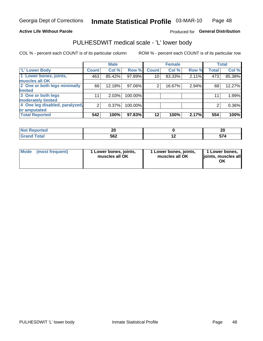#### **Active Life Without Parole**

### Produced for General Distribution

### PULHESDWIT medical scale - 'L' lower body

COL % - percent each COUNT is of its particular column

|                                |                | <b>Male</b> |         |              | <b>Female</b> |       |              | <b>Total</b> |
|--------------------------------|----------------|-------------|---------|--------------|---------------|-------|--------------|--------------|
| 'L' Lower Body                 | <b>Count</b>   | Col %       | Row %   | <b>Count</b> | Col %         | Row % | <b>Total</b> | Col %        |
| 1 Lower bones, joints,         | 463            | 85.42%      | 97.89%  | 10           | 83.33%        | 2.11% | 473          | 85.38%       |
| muscles all OK                 |                |             |         |              |               |       |              |              |
| 2 One or both legs minimally   | 66             | 12.18%      | 97.06%  | 2            | 16.67%        | 2.94% | 68           | 12.27%       |
| limited                        |                |             |         |              |               |       |              |              |
| 3 One or both legs             | 11             | 2.03%       | 100.00% |              |               |       | 11           | 1.99%        |
| moderately limited             |                |             |         |              |               |       |              |              |
| 4 One leg disabled, paralyzed, | $\overline{2}$ | 0.37%       | 100.00% |              |               |       | 2            | 0.36%        |
| or amputated                   |                |             |         |              |               |       |              |              |
| <b>Total Reported</b>          | 542            | 100%        | 97.83%  | $12 \,$      | 100%          | 2.17% | 554          | 100%         |

| <b>Not Reported</b>      | n,  | n,<br>44 |
|--------------------------|-----|----------|
| <b>Total</b><br>ا الله ا | 562 | . . T    |

| Mode | (most frequent) | 1 Lower bones, joints,<br>muscles all OK | 1 Lower bones, joints,<br>muscles all OK | 1 Lower bones,<br>ljoints, muscles all<br>ΟK |
|------|-----------------|------------------------------------------|------------------------------------------|----------------------------------------------|
|------|-----------------|------------------------------------------|------------------------------------------|----------------------------------------------|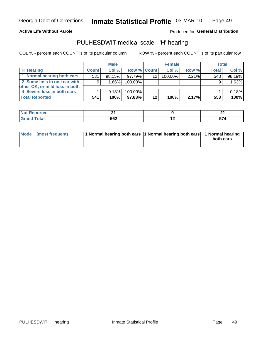**Active Life Without Parole** 

Produced for General Distribution

### PULHESDWIT medical scale - 'H' hearing

COL % - percent each COUNT is of its particular column

|                                |              | <b>Male</b> |                    |                 | <b>Female</b> |          | Total        |        |
|--------------------------------|--------------|-------------|--------------------|-----------------|---------------|----------|--------------|--------|
| <b>H' Hearing</b>              | <b>Count</b> | Col %       | <b>Row % Count</b> |                 | Col%          | Row %    | <b>Total</b> | Col %  |
| 1 Normal hearing both ears     | 531          | 98.15%      | 97.79%             | 12 <sup>2</sup> | 100.00%       | $2.21\%$ | 543          | 98.19% |
| 2 Some loss in one ear with    | 9            | 1.66%       | 100.00%            |                 |               |          | 9            | 1.63%  |
| other OK, or mild loss in both |              |             |                    |                 |               |          |              |        |
| 4 Severe loss in both ears     |              | 0.18%       | 100.00%            |                 |               |          |              | 0.18%  |
| <b>Total Reported</b>          | 541          | 100%        | 97.83%             | 12              | 100%          | 2.17%    | 553          | 100%   |

| тео    |                   | $ -$ |
|--------|-------------------|------|
| $\sim$ | <b>FCO</b><br>◞◡▴ | E7.  |

| Mode (most frequent) | 1 Normal hearing both ears 11 Normal hearing both ears 1 Normal hearing |           |
|----------------------|-------------------------------------------------------------------------|-----------|
|                      |                                                                         | both ears |
|                      |                                                                         |           |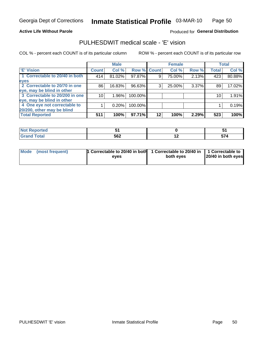#### **Active Life Without Parole**

#### Produced for General Distribution

### PULHESDWIT medical scale - 'E' vision

COL % - percent each COUNT is of its particular column

ROW % - percent each COUNT is of its particular row

|                                |              | <b>Male</b> |         |             | <b>Female</b> |       |              | <b>Total</b> |
|--------------------------------|--------------|-------------|---------|-------------|---------------|-------|--------------|--------------|
| <b>E' Vision</b>               | <b>Count</b> | Col %       |         | Row % Count | Col %         | Row % | <b>Total</b> | Col %        |
| 1 Correctable to 20/40 in both | 414          | 81.02%      | 97.87%  | 9           | 75.00%        | 2.13% | 423          | 80.88%       |
| eyes                           |              |             |         |             |               |       |              |              |
| 2 Correctable to 20/70 in one  | 86           | 16.83%      | 96.63%  | 3           | 25.00%        | 3.37% | 89           | 17.02%       |
| eye, may be blind in other     |              |             |         |             |               |       |              |              |
| 3 Correctable to 20/200 in one | 10           | $1.96\%$    | 100.00% |             |               |       | 10           | 1.91%        |
| eye, may be blind in other     |              |             |         |             |               |       |              |              |
| 4 One eye not correctable to   |              | 0.20%       | 100.00% |             |               |       |              | 0.19%        |
| 20/200, other may be blind     |              |             |         |             |               |       |              |              |
| <b>Total Reported</b>          | 511          | 100%        | 97.71%  | 12          | 100%          | 2.29% | 523          | 100%         |

| prted<br><b>NOT REPO</b><br>. <b>.</b> |     |     |            |
|----------------------------------------|-----|-----|------------|
| <b>Total</b>                           | 562 | . . | --<br>- 71 |

| Mode (most frequent) | <sup>1</sup> Correctable to 20/40 in both 1 Correctable to 20/40 in 1 Correctable to<br>eves | both eyes | 20/40 in both eyes |
|----------------------|----------------------------------------------------------------------------------------------|-----------|--------------------|
|                      |                                                                                              |           |                    |

50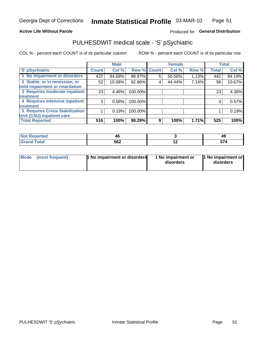#### **Active Life Without Parole**

### Produced for General Distribution

## PULHESDWIT medical scale - 'S' pSychiatric

COL % - percent each COUNT is of its particular column

|                                        |              | <b>Male</b> |         |             | <b>Female</b> |       |              | <b>Total</b> |
|----------------------------------------|--------------|-------------|---------|-------------|---------------|-------|--------------|--------------|
| 'S' pSychiatric                        | <b>Count</b> | Col %       |         | Row % Count | Col %         | Row % | <b>Total</b> | Col %        |
| 1 No impairment or disorders           | 437          | 84.69%      | 98.87%  | 5           | 55.56%        | 1.13% | 442          | 84.19%       |
| 2 Stable, or in remission, or          | 52           | 10.08%      | 92.86%  | 4           | 44.44%        | 7.14% | 56           | 10.67%       |
| mild impairment or retardation         |              |             |         |             |               |       |              |              |
| 3 Requires moderate inpatient          | 23           | 4.46%       | 100.00% |             |               |       | 23           | 4.38%        |
| treatment                              |              |             |         |             |               |       |              |              |
| 4 Requires intensive inpatient         | 3            | 0.58%       | 100.00% |             |               |       | 3            | 0.57%        |
| <b>treatment</b>                       |              |             |         |             |               |       |              |              |
| <b>5 Requires Crisis Stabilization</b> |              | 0.19%       | 100.00% |             |               |       |              | 0.19%        |
| Unit (CSU) inpatient care              |              |             |         |             |               |       |              |              |
| <b>Total Reported</b>                  | 516          | 100%        | 98.29%  | 9           | 100%          | 1.71% | 525          | 100%         |

| <b>Not Reported</b>                    | 4t  |    | 49       |
|----------------------------------------|-----|----|----------|
| <b>Total</b><br><b>CHA</b><br>ا الله ا | 562 | -- | --<br>יי |

| Mode | (most frequent) | 1 No impairment or disorders | 1 No impairment or<br>disorders | 1 No impairment or<br>disorders |
|------|-----------------|------------------------------|---------------------------------|---------------------------------|
|------|-----------------|------------------------------|---------------------------------|---------------------------------|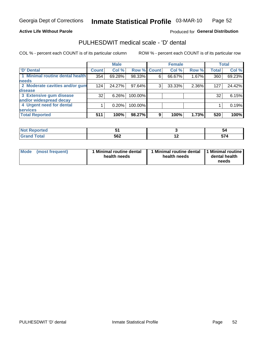#### **Active Life Without Parole**

#### Produced for General Distribution

## PULHESDWIT medical scale - 'D' dental

COL % - percent each COUNT is of its particular column

|                                 |              | <b>Male</b> |             |   | <b>Female</b> |       |              | <b>Total</b> |
|---------------------------------|--------------|-------------|-------------|---|---------------|-------|--------------|--------------|
| <b>D'</b> Dental                | <b>Count</b> | Col %       | Row % Count |   | Col %         | Row % | <b>Total</b> | Col %        |
| 1 Minimal routine dental health | 354          | 69.28%      | 98.33%      | 6 | 66.67%        | 1.67% | 360          | 69.23%       |
| <b>needs</b>                    |              |             |             |   |               |       |              |              |
| 2 Moderate cavities and/or gum  | 124          | 24.27%      | 97.64%      | 3 | 33.33%        | 2.36% | 127          | 24.42%       |
| disease                         |              |             |             |   |               |       |              |              |
| 3 Extensive gum disease         | 32           | $6.26\%$    | 100.00%     |   |               |       | 32           | 6.15%        |
| and/or widespread decay         |              |             |             |   |               |       |              |              |
| 4 Urgent need for dental        |              | 0.20%       | 100.00%     |   |               |       |              | 0.19%        |
| <b>services</b>                 |              |             |             |   |               |       |              |              |
| <b>Total Reported</b>           | 511          | 100%        | 98.27%      | 9 | 100%          | 1.73% | 520          | 100%         |

| and a st<br>orted<br><b>NOT REPO</b><br>$\sim$ . The set of $\sim$ |     |     | ວເ                  |
|--------------------------------------------------------------------|-----|-----|---------------------|
| <b>Total</b>                                                       | 562 | . . | -- -<br><u>JI 7</u> |

| <b>Mode</b> | (most frequent) | <b>Minimal routine dental</b><br>health needs | 1 Minimal routine dental<br>health needs | <b>11 Minimal routine I</b><br>dental health<br>needs |
|-------------|-----------------|-----------------------------------------------|------------------------------------------|-------------------------------------------------------|
|-------------|-----------------|-----------------------------------------------|------------------------------------------|-------------------------------------------------------|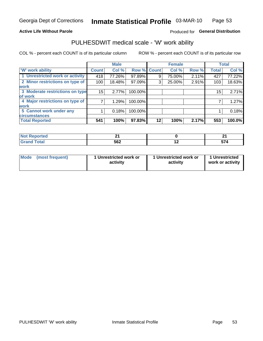#### **Active Life Without Parole**

### Produced for General Distribution

### PULHESDWIT medical scale - 'W' work ability

COL % - percent each COUNT is of its particular column

|                                 |              | <b>Male</b> |         |             | <b>Female</b> |       |              | <b>Total</b> |
|---------------------------------|--------------|-------------|---------|-------------|---------------|-------|--------------|--------------|
| <b>W' work ability</b>          | <b>Count</b> | Col %       |         | Row % Count | Col %         | Row % | <b>Total</b> | Col %        |
| 1 Unrestricted work or activity | 418          | 77.26%      | 97.89%  | 9           | 75.00%        | 2.11% | 427          | 77.22%       |
| 2 Minor restrictions on type of | 100          | 18.48%      | 97.09%  | 3           | 25.00%        | 2.91% | 103          | 18.63%       |
| <b>work</b>                     |              |             |         |             |               |       |              |              |
| 3 Moderate restrictions on type | 15           | 2.77%       | 100.00% |             |               |       | 15           | 2.71%        |
| lof work                        |              |             |         |             |               |       |              |              |
| 4 Major restrictions on type of |              | 1.29%       | 100.00% |             |               |       |              | 1.27%        |
| <b>work</b>                     |              |             |         |             |               |       |              |              |
| 5 Cannot work under any         |              | 0.18%       | 100.00% |             |               |       |              | 0.18%        |
| <b>circumstances</b>            |              |             |         |             |               |       |              |              |
| <b>Total Reported</b>           | 541          | 100%        | 97.83%  | 12          | 100%          | 2.17% | 553          | 100.0%       |

| <b>Not Reported</b> | --<br>$ -$ |     | . .<br>$ -$ |
|---------------------|------------|-----|-------------|
| <b>Total</b>        | 562        | . . | --          |

| Mode (most frequent) | 1 Unrestricted work or | 1 Unrestricted work or | 1 Unrestricted   |
|----------------------|------------------------|------------------------|------------------|
|                      | activity               | activity               | work or activity |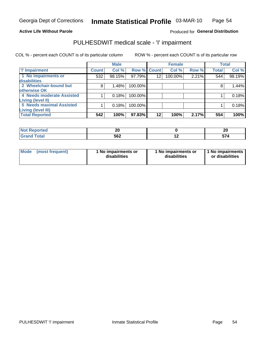#### **Active Life Without Parole**

#### Produced for General Distribution

## PULHESDWIT medical scale - 'I' impairment

COL % - percent each COUNT is of its particular column ROW % - percent each COUNT is of its particular row

|                           |              | <b>Male</b> |             |                 | <b>Female</b> |       |              | <b>Total</b> |
|---------------------------|--------------|-------------|-------------|-----------------|---------------|-------|--------------|--------------|
| <b>T' Impairment</b>      | <b>Count</b> | Col %       | Row % Count |                 | Col %         | Row % | <b>Total</b> | Col %        |
| 1 No impairments or       | 532          | 98.15%      | 97.79%      | 12 <sup>°</sup> | 100.00%       | 2.21% | 544          | 98.19%       |
| <b>disabilities</b>       |              |             |             |                 |               |       |              |              |
| 2 Wheelchair-bound but    | 8            | 1.48%       | 100.00%     |                 |               |       |              | 1.44%        |
| otherwise OK              |              |             |             |                 |               |       |              |              |
| 4 Needs moderate Assisted |              | 0.18%       | 100.00%     |                 |               |       |              | 0.18%        |
| Living (level II)         |              |             |             |                 |               |       |              |              |
| 5 Needs maximal Assisted  |              | 0.18%       | 100.00%     |                 |               |       |              | 0.18%        |
| <b>Living (level III)</b> |              |             |             |                 |               |       |              |              |
| <b>Total Reported</b>     | 542          | 100%        | 97.83%      | $12 \,$         | 100%          | 2.17% | 554          | 100%         |

| <b>eported</b> | nr.<br>Δu |     | 20  |
|----------------|-----------|-----|-----|
| Total          | 562       | . . | --- |

| Mode | (most frequent) | 1 No impairments or<br>disabilities | 1 No impairments or<br>disabilities | 1 No impairments  <br>or disabilities |
|------|-----------------|-------------------------------------|-------------------------------------|---------------------------------------|
|------|-----------------|-------------------------------------|-------------------------------------|---------------------------------------|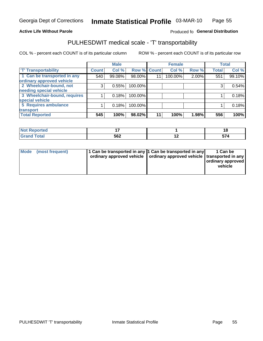#### **Active Life Without Parole**

#### Produced fo General Distribution

### PULHESDWIT medical scale - 'T' transportability

COL % - percent each COUNT is of its particular column

|                                                          |              | <b>Male</b> |         |             | <b>Female</b> |       |              | <b>Total</b> |
|----------------------------------------------------------|--------------|-------------|---------|-------------|---------------|-------|--------------|--------------|
| <b>T' Transportability</b>                               | <b>Count</b> | Col %       |         | Row % Count | Col %         | Row % | <b>Total</b> | Col %        |
| 1 Can be transported in any<br>ordinary approved vehicle | 540          | 99.08%      | 98.00%  | 11          | 100.00%       | 2.00% | 551          | 99.10%       |
| 2 Wheelchair-bound, not                                  | 3            | 0.55%       | 100.00% |             |               |       |              | 0.54%        |
| needing special vehicle                                  |              |             |         |             |               |       |              |              |
| 3 Wheelchair-bound, requires                             |              | 0.18%       | 100.00% |             |               |       |              | 0.18%        |
| special vehicle                                          |              |             |         |             |               |       |              |              |
| 5 Requires ambulance                                     |              | 0.18%       | 100.00% |             |               |       |              | 0.18%        |
| transport                                                |              |             |         |             |               |       |              |              |
| <b>Total Reported</b>                                    | 545          | 100%        | 98.02%  | 11          | 100%          | 1.98% | 556          | 100%         |

| NI (<br>oortea | $\sim$ |                          | 16     |
|----------------|--------|--------------------------|--------|
| υιαι<br>___    | 562    | $\overline{\phantom{0}}$ | $-  -$ |

| <b>Mode</b> | (most frequent) | 11 Can be transported in any 1 Can be transported in any<br>ordinary approved vehicle   ordinary approved vehicle   transported in any |  | 1 Can be<br>ordinary approved<br>vehicle |
|-------------|-----------------|----------------------------------------------------------------------------------------------------------------------------------------|--|------------------------------------------|
|-------------|-----------------|----------------------------------------------------------------------------------------------------------------------------------------|--|------------------------------------------|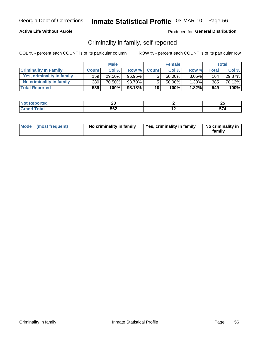#### **Active Life Without Parole**

#### Produced for General Distribution

### Criminality in family, self-reported

COL % - percent each COUNT is of its particular column

|                              |              | <b>Male</b> |           |                 | <b>Female</b> |          |       | Total  |
|------------------------------|--------------|-------------|-----------|-----------------|---------------|----------|-------|--------|
| <b>Criminality In Family</b> | <b>Count</b> | Col%        | Row %     | <b>Count</b>    | Col%          | Row %    | Total | Col %  |
| Yes, criminality in family   | 159          | 29.50%      | 96.95%    | 5               | 50.00%        | $3.05\%$ | 164   | 29.87% |
| No criminality in family     | 380          | 70.50%      | 98.70%    | 5               | $50.00\%$     | $1.30\%$ | 385   | 70.13% |
| <b>Total Reported</b>        | 539'         | 100%        | $98.18\%$ | 10 <sup>1</sup> | 100%          | $1.82\%$ | 549   | 100%   |

| <b>REPROGRES</b>                             | $\overline{\phantom{a}}$<br>∼∽<br>$\overline{\phantom{0}}$ |                          | or.<br>ZJ            |
|----------------------------------------------|------------------------------------------------------------|--------------------------|----------------------|
| `nfail<br>$\sim$ $\sim$ $\sim$ $\sim$ $\sim$ | 562                                                        | $\overline{\phantom{0}}$ | <b>THE 4</b><br>$ -$ |

| Mode (most frequent) |  | No criminality in family | Yes, criminality in family | No criminality in<br>family |
|----------------------|--|--------------------------|----------------------------|-----------------------------|
|----------------------|--|--------------------------|----------------------------|-----------------------------|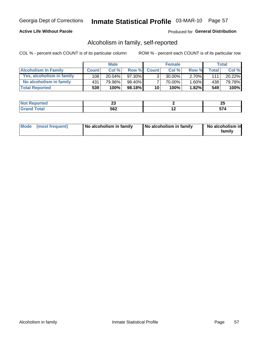#### **Active Life Without Parole**

#### Produced for General Distribution

### Alcoholism in family, self-reported

COL % - percent each COUNT is of its particular column

|                             |                  | <b>Male</b> |        |                 | <b>Female</b> |          |              | Total   |
|-----------------------------|------------------|-------------|--------|-----------------|---------------|----------|--------------|---------|
| <b>Alcoholism In Family</b> | <b>Count</b>     | Col%        | Row %  | <b>Count</b>    | Col %         | Row %    | <b>Total</b> | Col %   |
| Yes, alcoholism in family   | 108 <sub>1</sub> | $20.04\%$   | 97.30% | $\mathbf{r}$    | $30.00\%$     | $2.70\%$ | 111          | 20.22%  |
| No alcoholism in family     | 431              | 79.96%      | 98.40% |                 | 70.00%        | $1.60\%$ | 438          | 79.78%  |
| <b>Total Reported</b>       | 539              | 100%        | 98.18% | 10 <sub>1</sub> | 100%          | $1.82\%$ | 549          | $100\%$ |

| المنتبط المتعبد<br>≺eportea | w   |     | - -<br>w |
|-----------------------------|-----|-----|----------|
| <b>otal</b>                 | 562 | . . |          |

|  | Mode (most frequent) | No alcoholism in family | No alcoholism in family | No alcoholism in<br>family |
|--|----------------------|-------------------------|-------------------------|----------------------------|
|--|----------------------|-------------------------|-------------------------|----------------------------|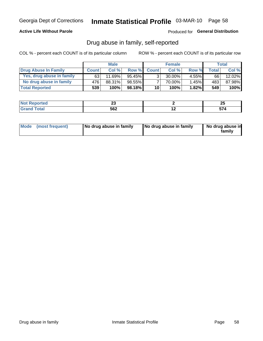#### **Active Life Without Parole**

### Produced for General Distribution

### Drug abuse in family, self-reported

COL % - percent each COUNT is of its particular column

|                           |              | <b>Male</b> |           |                 | <b>Female</b> |          |       | Total  |
|---------------------------|--------------|-------------|-----------|-----------------|---------------|----------|-------|--------|
| Drug Abuse In Family      | <b>Count</b> | Col%        | Row %     | <b>Count</b>    | Col%          | Row %    | Total | Col %  |
| Yes, drug abuse in family | 63           | 11.69%      | 95.45%    | 3 <sub>1</sub>  | $30.00\%$     | $4.55\%$ | 66    | 12.02% |
| No drug abuse in family   | 476          | 88.31%      | 98.55%    |                 | 70.00%        | $1.45\%$ | 483   | 87.98% |
| <b>Total Reported</b>     | 539          | 100%        | $98.18\%$ | 10 <sup>1</sup> | 100%          | 1.82%    | 549   | 100%   |

| <b><i><u>Stands</u></i></b><br>' N∩⊦<br>τeα | ~<br>⊷<br>$\sim$ | $\overline{\phantom{a}}$ |
|---------------------------------------------|------------------|--------------------------|
| $\sim$                                      | にたつ<br>◡◡▵       |                          |

|  | Mode (most frequent) | No drug abuse in family | No drug abuse in family | No drug abuse in<br>family |
|--|----------------------|-------------------------|-------------------------|----------------------------|
|--|----------------------|-------------------------|-------------------------|----------------------------|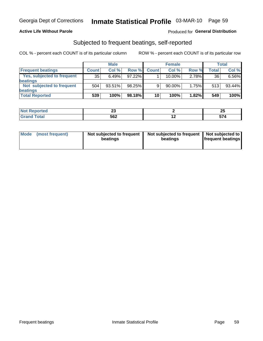#### **Active Life Without Parole**

#### Produced for General Distribution

### Subjected to frequent beatings, self-reported

COL % - percent each COUNT is of its particular column

|                                   |              | <b>Male</b> |        |              | <b>Female</b> |       |       | Total  |
|-----------------------------------|--------------|-------------|--------|--------------|---------------|-------|-------|--------|
| <b>Frequent beatings</b>          | <b>Count</b> | Col %       | Row %  | <b>Count</b> | Col %         | Row % | Total | Col %  |
| <b>Yes, subjected to frequent</b> | 35           | 6.49%       | 97.22% |              | 10.00%        | 2.78% | 36    | 6.56%  |
| <b>beatings</b>                   |              |             |        |              |               |       |       |        |
| Not subjected to frequent         | 504          | 93.51%      | 98.25% | 9            | 90.00%        | 1.75% | 513   | 93.44% |
| <b>beatings</b>                   |              |             |        |              |               |       |       |        |
| <b>Total Reported</b>             | 539          | 100%        | 98.18% | 10           | 100%          | 1.82% | 549   | 100%   |

| <b>Not Reported</b> | $\overline{\phantom{a}}$<br>-- |     | ኅር<br>--    |
|---------------------|--------------------------------|-----|-------------|
| <b>Total</b>        | 562                            | . . | -- 1<br>574 |

| Mode | (most frequent) | Not subjected to frequent<br>beatings | Not subjected to frequent<br>beatings | Not subjected to<br><b>frequent beatings</b> |
|------|-----------------|---------------------------------------|---------------------------------------|----------------------------------------------|
|      |                 |                                       |                                       |                                              |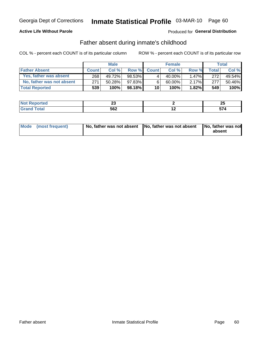#### **Active Life Without Parole**

### **Produced for General Distribution**

### Father absent during inmate's childhood

COL % - percent each COUNT is of its particular column

|                           |              | <b>Male</b> |          |              | <b>Female</b> |          |              | <b>Total</b> |
|---------------------------|--------------|-------------|----------|--------------|---------------|----------|--------------|--------------|
| <b>Father Absent</b>      | <b>Count</b> | Col%        | Row %    | <b>Count</b> | Col%          | Row %    | <b>Total</b> | Col %        |
| Yes, father was absent    | 2681         | 49.72%      | 98.53%   | 4            | 40.00%        | $1.47\%$ | 272          | 49.54%       |
| No, father was not absent | 271          | 50.28%      | 97.83%I  | 6            | 60.00%        | $2.17\%$ | 277          | 50.46%       |
| <b>Total Reported</b>     | 539          | $100\%$     | 98.18% L | 10           | 100%          | $1.82\%$ | 549          | 100%         |

| المنتبط المتعدد | ~~  |     | or.  |
|-----------------|-----|-----|------|
| <b>eported</b>  | --  |     | ZJ   |
| <b>otal</b>     | 562 | . . | -- - |

|  | Mode (most frequent) | No, father was not absent No, father was not absent |  | No, father was not<br>absent |
|--|----------------------|-----------------------------------------------------|--|------------------------------|
|--|----------------------|-----------------------------------------------------|--|------------------------------|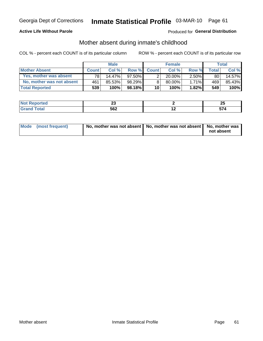#### **Active Life Without Parole**

#### Produced for General Distribution

### Mother absent during inmate's childhood

COL % - percent each COUNT is of its particular column

|                           |              | <b>Male</b> |           |                 | <b>Female</b> |          |              | Total  |
|---------------------------|--------------|-------------|-----------|-----------------|---------------|----------|--------------|--------|
| <b>Mother Absent</b>      | <b>Count</b> | Col%        | Row %     | <b>Count</b>    | Col %         | Row %    | <b>Total</b> | Col %  |
| Yes, mother was absent    | 781          | 14.47%      | $97.50\%$ | 2               | $20.00\%$     | $2.50\%$ | 80           | 14.57% |
| No, mother was not absent | 461          | 85.53%      | 98.29%    | 8               | 80.00%        | 1.71%    | 469          | 85.43% |
| <b>Total Reported</b>     | 539'         | 100%        | 98.18%    | 10 <sup>1</sup> | 100%          | 1.82%    | 549          | 100%   |

| ----<br><b>NOT</b><br>Reported<br>. | w   |     | יי<br>~ |
|-------------------------------------|-----|-----|---------|
| <b>otal</b>                         | 562 | . . | . .     |

| Mode (most frequent) | No, mother was not absent   No, mother was not absent   No, mother was | not absent |
|----------------------|------------------------------------------------------------------------|------------|
|----------------------|------------------------------------------------------------------------|------------|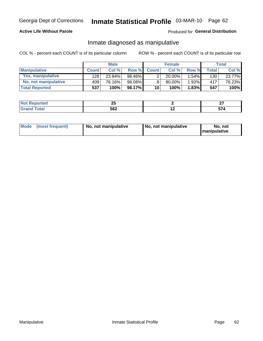#### **Active Life Without Parole**

#### Produced for General Distribution

### Inmate diagnosed as manipulative

COL % - percent each COUNT is of its particular column

|                       | <b>Male</b>      |        |           | <b>Female</b>   |        |       | Total        |        |
|-----------------------|------------------|--------|-----------|-----------------|--------|-------|--------------|--------|
| <b>Manipulative</b>   | <b>Count</b>     | Col %  | Row %     | <b>Count</b>    | Col %  | Row % | <b>Total</b> | Col %  |
| Yes, manipulative     | 128 <sub>1</sub> | 23.84% | 98.46%    | 2               | 20.00% | 1.54% | 130          | 23.77% |
| No, not manipulative  | 409              | 76.16% | $98.08\%$ | 8               | 80.00% | 1.92% | 417          | 76.23% |
| <b>Total Reported</b> | 537              | 100%   | 98.17%    | 10 <sup>1</sup> | 100%   | 1.83% | 547          | 100%   |

| тео                                | --<br>~~  |     | ^¬<br>-- |
|------------------------------------|-----------|-----|----------|
| $\sim$ $\sim$ $\sim$ $\sim$ $\sim$ | ccn<br>סכ | $-$ | $ -$     |

|  | Mode (most frequent) | No, not manipulative | No, not manipulative | No. not<br><b>I</b> manipulative |
|--|----------------------|----------------------|----------------------|----------------------------------|
|--|----------------------|----------------------|----------------------|----------------------------------|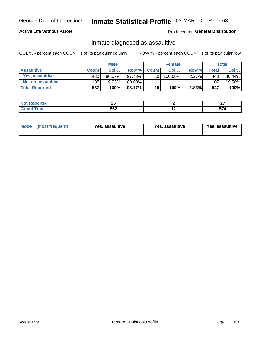## Inmate Statistical Profile 03-MAR-10 Page 63

#### **Active Life Without Parole**

#### Produced for General Distribution

### Inmate diagnosed as assaultive

COL % - percent each COUNT is of its particular column

|                       |              | <b>Male</b> |         |                 | <b>Female</b> |          |       | Total  |
|-----------------------|--------------|-------------|---------|-----------------|---------------|----------|-------|--------|
| <b>Assaultive</b>     | <b>Count</b> | Col %       | Row %   | <b>Count</b>    | Col %         | Row %    | Total | Col %  |
| Yes, assaultive       | 430          | $80.07\%$   | 97.73%  | 10              | $100.00\%$    | 2.27%    | 440   | 80.44% |
| No, not assaultive    | 107          | 19.93%」     | 100.00% |                 |               |          | 107   | 19.56% |
| <b>Total Reported</b> | 537          | 100%        | 98.17%  | 10 <sup>1</sup> | 100%          | $1.83\%$ | 547   | 100%   |

| ----<br><b>NOT</b><br>Reported<br>. | ⊷   |     | ~-<br>--  |
|-------------------------------------|-----|-----|-----------|
| <b>otal</b>                         | 562 | . . | --<br>. . |

| <b>Mode</b><br>(most frequent) | <b>Yes, assaultive</b> | Yes, assaultive | <b>Yes, assaultive</b> |
|--------------------------------|------------------------|-----------------|------------------------|
|--------------------------------|------------------------|-----------------|------------------------|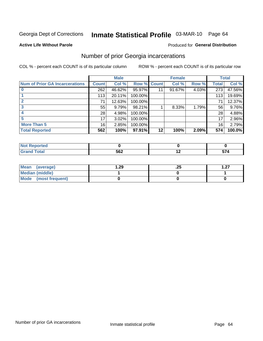## Inmate Statistical Profile 03-MAR-10 Page 64

#### **Active Life Without Parole**

#### **Produced for General Distribution**

### Number of prior Georgia incarcerations

COL % - percent each COUNT is of its particular column

|                                       |                 | <b>Male</b> |                    |         | <b>Female</b> |       |       | <b>Total</b> |
|---------------------------------------|-----------------|-------------|--------------------|---------|---------------|-------|-------|--------------|
| <b>Num of Prior GA Incarcerations</b> | <b>Count</b>    | Col %       | <b>Row % Count</b> |         | Col %         | Row % | Total | Col %        |
|                                       | 262             | 46.62%      | 95.97%             |         | 91.67%        | 4.03% | 273   | 47.56%       |
|                                       | 113             | 20.11%      | 100.00%            |         |               |       | 113   | 19.69%       |
|                                       | 71              | 12.63%      | 100.00%            |         |               |       | 71    | 12.37%       |
|                                       | 55              | 9.79%       | 98.21%             |         | 8.33%         | 1.79% | 56    | 9.76%        |
|                                       | 28              | 4.98%       | 100.00%            |         |               |       | 28    | 4.88%        |
|                                       | 17              | 3.02%       | 100.00%            |         |               |       | 17    | 2.96%        |
| <b>More Than 5</b>                    | 16 <sub>1</sub> | 2.85%       | 100.00%            |         |               |       | 16    | 2.79%        |
| <b>Total Reported</b>                 | 562             | 100%        | 97.91%             | $12 \,$ | 100%          | 2.09% | 574   | 100.0%       |

| Reported<br>NA                |     |      |
|-------------------------------|-----|------|
| <b>Total</b><br>$\bullet$ nan | 562 | -- 1 |

| Mean (average)       | 29. ا | ن 2. | ר - |
|----------------------|-------|------|-----|
| Median (middle)      |       |      |     |
| Mode (most frequent) |       |      |     |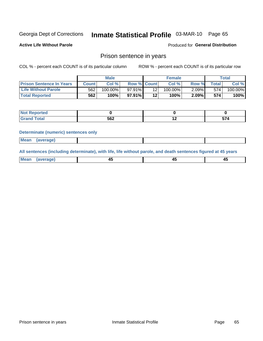## Inmate Statistical Profile 03-MAR-10 Page 65

Produced for General Distribution

**Active Life Without Parole** 

# Prison sentence in years

COL % - percent each COUNT is of its particular column

ROW % - percent each COUNT is of its particular row

|                                 | <b>Male</b> |            |                    | <b>Female</b> |         |          | Total |         |
|---------------------------------|-------------|------------|--------------------|---------------|---------|----------|-------|---------|
| <b>Prison Sentence In Years</b> | Count l     | Col %      | <b>Row % Count</b> |               | Col %   | Row %    | Total | Col %   |
| <b>Life Without Parole</b>      | 562         | $100.00\%$ | 97.91%             |               | 100.00% | $2.09\%$ | 574   | 100.00% |
| <b>Total Reported</b>           | 562         | 100%       | $97.91\%$          | 12            | 100%    | 2.09%    | 574   | 100%    |

| Not Reported |     |     |    |
|--------------|-----|-----|----|
| <b>Fotal</b> | 562 | . . | -- |

#### **Determinate (numeric) sentences only**

|  | <b>Mean</b> | (average) |  |  |  |
|--|-------------|-----------|--|--|--|
|--|-------------|-----------|--|--|--|

All sentences (including determinate), with life, life without parole, and death sentences figured at 45 years

| l Mea<br>апе<br>. | -⊷ |  |
|-------------------|----|--|
|                   |    |  |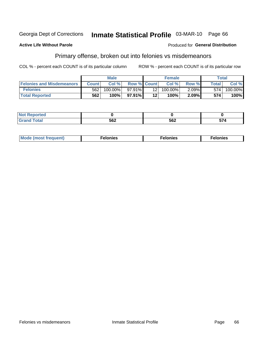#### Georgia Dept of Corrections Inmate Statistical Profile 03-MAR-10 Page 66

#### **Active Life Without Parole**

#### Produced for General Distribution

### Primary offense, broken out into felonies vs misdemeanors

COL % - percent each COUNT is of its particular column

|                                  | <b>Male</b>  |         | <b>Female</b>      |                 |         | Total    |                    |         |
|----------------------------------|--------------|---------|--------------------|-----------------|---------|----------|--------------------|---------|
| <b>Felonies and Misdemeanors</b> | <b>Count</b> | Col%    | <b>Row % Count</b> |                 | Col%    | Row %    | Total <sub>1</sub> | Col %   |
| <b>Felonies</b>                  | 562          | 100.00% | 97.91%             | 12 <sub>1</sub> | 100.00% | $2.09\%$ | 574                | 100.00% |
| <b>Total Reported</b>            | 562          | $100\%$ | $97.91\%$          | 12'             | 100%    | 2.09%    | 574                | 100%    |

| <b>Not Reported</b>          |            |     |     |
|------------------------------|------------|-----|-----|
| <b>c</b> otal<br>Gran<br>uuu | 560<br>JUŁ | 562 | 574 |

| $Mc$<br>equent)<br>нез<br>$\sim$<br>. | onies<br>. | <b>onies</b><br>. |
|---------------------------------------|------------|-------------------|
|---------------------------------------|------------|-------------------|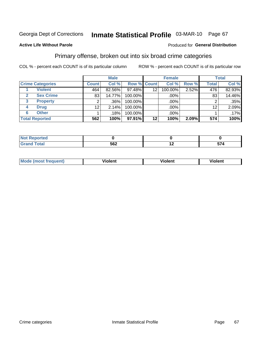# Inmate Statistical Profile 03-MAR-10 Page 67

#### **Active Life Without Parole**

#### Produced for General Distribution

### Primary offense, broken out into six broad crime categories

COL % - percent each COUNT is of its particular column

|                                  | <b>Male</b>     |        | <b>Female</b>      |                 |         | <b>Total</b> |                 |         |
|----------------------------------|-----------------|--------|--------------------|-----------------|---------|--------------|-----------------|---------|
| <b>Crime Categories</b>          | <b>Count</b>    | Col %  | <b>Row % Count</b> |                 | Col %   | Row %        | <b>Total</b>    | Col %   |
| <b>Violent</b>                   | 464             | 82.56% | 97.48%             | 12 <sub>2</sub> | 100.00% | 2.52%        | 476             | 82.93%  |
| <b>Sex Crime</b><br>$\mathbf{2}$ | 83              | 14.77% | 100.00%            |                 | .00%    |              | 83              | 14.46%  |
| 3<br><b>Property</b>             | 2               | .36%   | 100.00%            |                 | .00%    |              |                 | $.35\%$ |
| <b>Drug</b><br>4                 | 12 <sub>2</sub> | 2.14%  | 100.00%            |                 | .00%    |              | 12 <sup>°</sup> | 2.09%   |
| <b>Other</b><br>6                |                 | .18%   | 100.00%            |                 | .00%    |              |                 | .17%    |
| <b>Total Reported</b>            | 562             | 100%   | 97.91%             | 12              | 100%    | 2.09%        | 574             | 100%    |

| <b>Not Reported</b> |     |     |           |
|---------------------|-----|-----|-----------|
| <b>Total</b>        | 562 | . . | --<br>J14 |

| М | ,,, | - -- -<br>וחו | m |
|---|-----|---------------|---|
|   |     |               |   |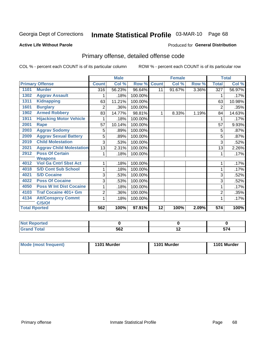# Inmate Statistical Profile 03-MAR-10 Page 68

#### **Active Life Without Parole**

#### Produced for General Distribution

## Primary offense, detailed offense code

COL % - percent each COUNT is of its particular column

|      |                                 |              | <b>Male</b> |         |              | <b>Female</b> |       |                  | <b>Total</b> |
|------|---------------------------------|--------------|-------------|---------|--------------|---------------|-------|------------------|--------------|
|      | <b>Primary Offense</b>          | <b>Count</b> | Col %       | Row %   | <b>Count</b> | Col %         | Row % | <b>Total</b>     | Col %        |
| 1101 | <b>Murder</b>                   | 316          | 56.23%      | 96.64%  | 11           | 91.67%        | 3.36% | 327              | 56.97%       |
| 1302 | <b>Aggrav Assault</b>           |              | .18%        | 100.00% |              |               |       |                  | .17%         |
| 1311 | <b>Kidnapping</b>               | 63           | 11.21%      | 100.00% |              |               |       | 63               | 10.98%       |
| 1601 | <b>Burglary</b>                 | 2            | .36%        | 100.00% |              |               |       | $\overline{2}$   | .35%         |
| 1902 | <b>Armed Robbery</b>            | 83           | 14.77%      | 98.81%  | 1            | 8.33%         | 1.19% | 84               | 14.63%       |
| 1911 | <b>Hijacking Motor Vehicle</b>  |              | .18%        | 100.00% |              |               |       | 1                | .17%         |
| 2001 | Rape                            | 57           | 10.14%      | 100.00% |              |               |       | 57               | 9.93%        |
| 2003 | <b>Aggrav Sodomy</b>            | 5            | .89%        | 100.00% |              |               |       | 5                | .87%         |
| 2009 | <b>Aggrav Sexual Battery</b>    | 5            | .89%        | 100.00% |              |               |       | 5                | .87%         |
| 2019 | <b>Child Molestation</b>        | 3            | .53%        | 100.00% |              |               |       | 3                | .52%         |
| 2021 | <b>Aggrav Child Molestation</b> | 13           | 2.31%       | 100.00% |              |               |       | 13               | 2.26%        |
| 2912 | <b>Poss Of Certain</b>          |              | .18%        | 100.00% |              |               |       | 1                | .17%         |
|      | <b>Weapons</b>                  |              |             |         |              |               |       |                  |              |
| 4012 | <b>Viol Ga Cntrl Sbst Act</b>   |              | .18%        | 100.00% |              |               |       | 1                | .17%         |
| 4018 | <b>S/D Cont Sub School</b>      |              | .18%        | 100.00% |              |               |       | 1                | .17%         |
| 4021 | <b>S/D Cocaine</b>              | 3            | .53%        | 100.00% |              |               |       | 3                | .52%         |
| 4022 | <b>Poss Of Cocaine</b>          | 3            | .53%        | 100.00% |              |               |       | 3                | .52%         |
| 4050 | <b>Poss W Int Dist Cocaine</b>  |              | .18%        | 100.00% |              |               |       | $\mathbf 1$      | .17%         |
| 4103 | <b>Traf Cocaine 401+ Gm</b>     | 2            | .36%        | 100.00% |              |               |       | $\overline{2}$   | .35%         |
| 4134 | <b>Att/Consprcy Commt</b>       |              | .18%        | 100.00% |              |               |       |                  | .17%         |
|      | C/S/Of                          |              |             |         |              |               |       |                  |              |
|      | <b>Total Rported</b>            | 562          | 100%        | 97.91%  | 12           | 100%          | 2.09% | $\overline{574}$ | 100%         |

| orted |     |   |   |
|-------|-----|---|---|
| Total | 562 | . | ∼ |

| Mode (most frequent) | 1101 Murder | 1101 Murder | 1101 Murder |
|----------------------|-------------|-------------|-------------|
|                      |             |             |             |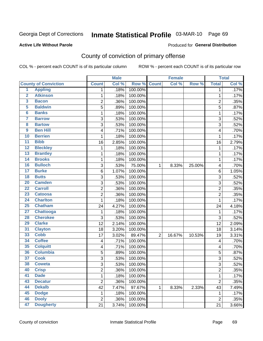# Inmate Statistical Profile 03-MAR-10 Page 69

#### **Active Life Without Parole**

#### Produced for General Distribution

## County of conviction of primary offense

COL % - percent each COUNT is of its particular column

|                         |                             |                         | <b>Male</b> |         |                | <b>Female</b> |        |                | <b>Total</b> |
|-------------------------|-----------------------------|-------------------------|-------------|---------|----------------|---------------|--------|----------------|--------------|
|                         | <b>County of Conviction</b> | <b>Count</b>            | Col %       | Row %   | <b>Count</b>   | Col %         | Row %  | <b>Total</b>   | Col %        |
| 1                       | <b>Appling</b>              | 1                       | .18%        | 100.00% |                |               |        | 1              | .17%         |
| $\overline{2}$          | <b>Atkinson</b>             | 1                       | .18%        | 100.00% |                |               |        | $\mathbf{1}$   | .17%         |
| $\overline{\mathbf{3}}$ | <b>Bacon</b>                | $\overline{c}$          | .36%        | 100.00% |                |               |        | $\overline{2}$ | .35%         |
| 5                       | <b>Baldwin</b>              | 5                       | .89%        | 100.00% |                |               |        | 5              | .87%         |
| $\overline{\mathbf{6}}$ | <b>Banks</b>                | 1                       | .18%        | 100.00% |                |               |        | $\mathbf 1$    | .17%         |
| $\overline{\mathbf{7}}$ | <b>Barrow</b>               | 3                       | .53%        | 100.00% |                |               |        | 3              | .52%         |
| $\overline{\mathbf{8}}$ | <b>Bartow</b>               | 3                       | .53%        | 100.00% |                |               |        | 3              | .52%         |
| $\overline{9}$          | <b>Ben Hill</b>             | 4                       | .71%        | 100.00% |                |               |        | 4              | .70%         |
| 10                      | <b>Berrien</b>              | 1                       | .18%        | 100.00% |                |               |        | $\mathbf 1$    | .17%         |
| $\overline{11}$         | <b>Bibb</b>                 | 16                      | 2.85%       | 100.00% |                |               |        | 16             | 2.79%        |
| $\overline{12}$         | <b>Bleckley</b>             | $\mathbf 1$             | .18%        | 100.00% |                |               |        | $\mathbf 1$    | .17%         |
| 13                      | <b>Brantley</b>             | 1                       | .18%        | 100.00% |                |               |        | $\mathbf 1$    | .17%         |
| $\overline{14}$         | <b>Brooks</b>               | 1                       | .18%        | 100.00% |                |               |        | $\mathbf{1}$   | .17%         |
| 16                      | <b>Bulloch</b>              | 3                       | .53%        | 75.00%  | 1              | 8.33%         | 25.00% | 4              | .70%         |
| $\overline{17}$         | <b>Burke</b>                | $\,6$                   | 1.07%       | 100.00% |                |               |        | 6              | 1.05%        |
| $\overline{18}$         | <b>Butts</b>                | 3                       | .53%        | 100.00% |                |               |        | 3              | .52%         |
| 20                      | <b>Camden</b>               | 3                       | .53%        | 100.00% |                |               |        | 3              | .52%         |
| $\overline{22}$         | <b>Carroll</b>              | $\overline{\mathbf{c}}$ | .36%        | 100.00% |                |               |        | $\overline{c}$ | .35%         |
| 23                      | <b>Catoosa</b>              | $\overline{c}$          | .36%        | 100.00% |                |               |        | $\overline{c}$ | .35%         |
| $\overline{24}$         | <b>Charlton</b>             | 1                       | .18%        | 100.00% |                |               |        | 1              | .17%         |
| 25                      | <b>Chatham</b>              | 24                      | 4.27%       | 100.00% |                |               |        | 24             | 4.18%        |
| $\overline{27}$         | <b>Chattooga</b>            | 1                       | .18%        | 100.00% |                |               |        | $\mathbf{1}$   | .17%         |
| 28                      | <b>Cherokee</b>             | 3                       | .53%        | 100.00% |                |               |        | 3              | .52%         |
| 29                      | <b>Clarke</b>               | 12                      | 2.14%       | 100.00% |                |               |        | 12             | 2.09%        |
| $\overline{31}$         | <b>Clayton</b>              | 18                      | 3.20%       | 100.00% |                |               |        | 18             | 3.14%        |
| 33                      | <b>Cobb</b>                 | 17                      | 3.02%       | 89.47%  | $\overline{2}$ | 16.67%        | 10.53% | 19             | 3.31%        |
| 34                      | <b>Coffee</b>               | 4                       | .71%        | 100.00% |                |               |        | 4              | .70%         |
| 35                      | <b>Colquitt</b>             | 4                       | .71%        | 100.00% |                |               |        | 4              | .70%         |
| 36                      | <b>Columbia</b>             | 5                       | .89%        | 100.00% |                |               |        | 5              | .87%         |
| 37                      | <b>Cook</b>                 | 3                       | .53%        | 100.00% |                |               |        | 3              | .52%         |
| 38                      | <b>Coweta</b>               | $\overline{3}$          | .53%        | 100.00% |                |               |        | 3              | .52%         |
| 40                      | <b>Crisp</b>                | 2                       | .36%        | 100.00% |                |               |        | 2              | $.35\%$      |
| 41                      | <b>Dade</b>                 | 1                       | .18%        | 100.00% |                |               |        | $\mathbf{1}$   | .17%         |
| 43                      | <b>Decatur</b>              | $\overline{2}$          | .36%        | 100.00% |                |               |        | $\overline{2}$ | .35%         |
| 44                      | <b>Dekalb</b>               | 42                      | 7.47%       | 97.67%  | 1              | 8.33%         | 2.33%  | 43             | 7.49%        |
| 45                      | <b>Dodge</b>                | 1                       | .18%        | 100.00% |                |               |        | 1              | .17%         |
| 46                      | <b>Dooly</b>                | $\boldsymbol{2}$        | .36%        | 100.00% |                |               |        | $\overline{2}$ | .35%         |
| 47                      | <b>Dougherty</b>            | 21                      | 3.74%       | 100.00% |                |               |        | 21             | 3.66%        |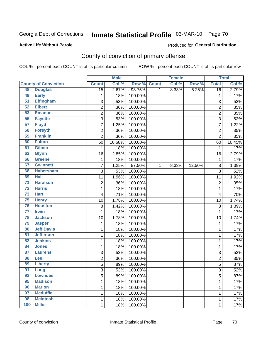# Inmate Statistical Profile 03-MAR-10 Page 70

#### **Active Life Without Parole**

#### Produced for General Distribution

## County of conviction of primary offense

COL % - percent each COUNT is of its particular column

|                 |                             |                           | <b>Male</b> |         |              | <b>Female</b> |        |                | <b>Total</b> |
|-----------------|-----------------------------|---------------------------|-------------|---------|--------------|---------------|--------|----------------|--------------|
|                 | <b>County of Conviction</b> | <b>Count</b>              | Col %       | Row %   | <b>Count</b> | Col %         | Row %  | <b>Total</b>   | Col%         |
| 48              | <b>Douglas</b>              | $\overline{15}$           | 2.67%       | 93.75%  | 1            | 8.33%         | 6.25%  | 16             | 2.79%        |
| 49              | <b>Early</b>                | 1                         | .18%        | 100.00% |              |               |        | $\mathbf{1}$   | .17%         |
| $\overline{51}$ | <b>Effingham</b>            | 3                         | .53%        | 100.00% |              |               |        | 3              | .52%         |
| 52              | <b>Elbert</b>               | $\overline{2}$            | .36%        | 100.00% |              |               |        | $\overline{2}$ | .35%         |
| 53              | <b>Emanuel</b>              | 2                         | .36%        | 100.00% |              |               |        | 2              | .35%         |
| 56              | <b>Fayette</b>              | $\sqrt{3}$                | .53%        | 100.00% |              |               |        | 3              | .52%         |
| 57              | <b>Floyd</b>                | $\overline{7}$            | 1.25%       | 100.00% |              |               |        | $\overline{7}$ | 1.22%        |
| 58              | <b>Forsyth</b>              | $\overline{2}$            | .36%        | 100.00% |              |               |        | $\overline{2}$ | .35%         |
| 59              | <b>Franklin</b>             | $\overline{2}$            | .36%        | 100.00% |              |               |        | $\overline{2}$ | .35%         |
| 60              | <b>Fulton</b>               | 60                        | 10.68%      | 100.00% |              |               |        | 60             | 10.45%       |
| 61              | <b>Gilmer</b>               | 1                         | .18%        | 100.00% |              |               |        | 1              | .17%         |
| 63              | <b>Glynn</b>                | 16                        | 2.85%       | 100.00% |              |               |        | 16             | 2.79%        |
| 66              | <b>Greene</b>               | 1                         | .18%        | 100.00% |              |               |        | $\mathbf 1$    | .17%         |
| 67              | <b>Gwinnett</b>             | 7                         | 1.25%       | 87.50%  | 1            | 8.33%         | 12.50% | 8              | 1.39%        |
| 68              | <b>Habersham</b>            | 3                         | .53%        | 100.00% |              |               |        | 3              | .52%         |
| 69              | <b>Hall</b>                 | 11                        | 1.96%       | 100.00% |              |               |        | 11             | 1.92%        |
| $\overline{71}$ | <b>Haralson</b>             | $\overline{2}$            | .36%        | 100.00% |              |               |        | $\overline{2}$ | .35%         |
| $\overline{72}$ | <b>Harris</b>               | 1                         | .18%        | 100.00% |              |               |        | 1              | .17%         |
| $\overline{73}$ | <b>Hart</b>                 | $\overline{\mathbf{4}}$   | .71%        | 100.00% |              |               |        | 4              | .70%         |
| 75              | <b>Henry</b>                | 10                        | 1.78%       | 100.00% |              |               |        | 10             | 1.74%        |
| 76              | <b>Houston</b>              | 8                         | 1.42%       | 100.00% |              |               |        | 8              | 1.39%        |
| $\overline{77}$ | <b>Irwin</b>                | 1                         | .18%        | 100.00% |              |               |        | $\mathbf{1}$   | .17%         |
| 78              | <b>Jackson</b>              | 10                        | 1.78%       | 100.00% |              |               |        | 10             | 1.74%        |
| 79              | <b>Jasper</b>               | 1                         | .18%        | 100.00% |              |               |        | 1              | .17%         |
| 80              | <b>Jeff Davis</b>           | 1                         | .18%        | 100.00% |              |               |        | 1              | .17%         |
| $\overline{81}$ | <b>Jefferson</b>            | 1                         | .18%        | 100.00% |              |               |        | 1              | .17%         |
| 82              | <b>Jenkins</b>              | 1                         | .18%        | 100.00% |              |               |        | $\mathbf 1$    | .17%         |
| 84              | <b>Jones</b>                | 1                         | .18%        | 100.00% |              |               |        | 1              | .17%         |
| 87              | <b>Laurens</b>              | $\ensuremath{\mathsf{3}}$ | .53%        | 100.00% |              |               |        | 3              | .52%         |
| 88              | Lee                         | $\overline{2}$            | .36%        | 100.00% |              |               |        | $\overline{2}$ | .35%         |
| 89              | <b>Liberty</b>              | $\overline{5}$            | .89%        | 100.00% |              |               |        | 5              | .87%         |
| 91              | Long                        | 3                         | .53%        | 100.00% |              |               |        | 3              | .52%         |
| 92              | <b>Lowndes</b>              | $\overline{5}$            | .89%        | 100.00% |              |               |        | 5              | .87%         |
| 95              | <b>Madison</b>              | 1                         | .18%        | 100.00% |              |               |        | 1              | .17%         |
| 96              | <b>Marion</b>               | 1                         | .18%        | 100.00% |              |               |        | 1              | .17%         |
| 97              | <b>Mcduffie</b>             | 1                         | .18%        | 100.00% |              |               |        | 1              | .17%         |
| 98              | <b>Mcintosh</b>             | 1                         | .18%        | 100.00% |              |               |        | $\mathbf{1}$   | .17%         |
| 100             | <b>Miller</b>               | $\mathbf 1$               | .18%        | 100.00% |              |               |        | 1              | .17%         |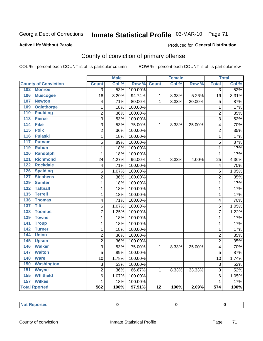# Inmate Statistical Profile 03-MAR-10 Page 71

#### **Active Life Without Parole**

#### Produced for General Distribution

## County of conviction of primary offense

COL % - percent each COUNT is of its particular column

|                                     |                           | <b>Male</b> |         |                 | <b>Female</b> |        |                  | <b>Total</b> |
|-------------------------------------|---------------------------|-------------|---------|-----------------|---------------|--------|------------------|--------------|
| <b>County of Conviction</b>         | <b>Count</b>              | Col %       | Row %   | <b>Count</b>    | Col %         | Row %  | <b>Total</b>     | Col %        |
| 102 Monroe                          | $\overline{3}$            | .53%        | 100.00% |                 |               |        | $\overline{3}$   | .52%         |
| 106<br><b>Muscogee</b>              | 18                        | 3.20%       | 94.74%  | 1               | 8.33%         | 5.26%  | 19               | 3.31%        |
| 107<br><b>Newton</b>                | 4                         | .71%        | 80.00%  | $\mathbf{1}$    | 8.33%         | 20.00% | 5                | .87%         |
| <b>Oglethorpe</b><br>109            | $\mathbf 1$               | .18%        | 100.00% |                 |               |        | $\mathbf 1$      | .17%         |
| <b>Paulding</b><br>110              | $\overline{2}$            | .36%        | 100.00% |                 |               |        | $\overline{2}$   | .35%         |
| 113<br><b>Pierce</b>                | $\overline{\overline{3}}$ | .53%        | 100.00% |                 |               |        | $\overline{3}$   | .52%         |
| <b>Pike</b><br>114                  | $\overline{3}$            | .53%        | 75.00%  | 1               | 8.33%         | 25.00% | 4                | .70%         |
| 115<br><b>Polk</b>                  | $\overline{2}$            | .36%        | 100.00% |                 |               |        | $\overline{2}$   | .35%         |
| 116<br><b>Pulaski</b>               | $\mathbf{1}$              | .18%        | 100.00% |                 |               |        | $\mathbf 1$      | .17%         |
| 117<br><b>Putnam</b>                | 5                         | .89%        | 100.00% |                 |               |        | 5                | .87%         |
| 119<br><b>Rabun</b>                 | $\mathbf{1}$              | .18%        | 100.00% |                 |               |        | $\mathbf{1}$     | .17%         |
| 120<br><b>Randolph</b>              | $\mathbf{1}$              | .18%        | 100.00% |                 |               |        | $\mathbf{1}$     | .17%         |
| <b>Richmond</b><br>121              | 24                        | 4.27%       | 96.00%  | $\mathbf{1}$    | 8.33%         | 4.00%  | 25               | 4.36%        |
| 122<br><b>Rockdale</b>              | $\overline{\mathbf{4}}$   | .71%        | 100.00% |                 |               |        | 4                | .70%         |
| 126<br><b>Spalding</b>              | 6                         | 1.07%       | 100.00% |                 |               |        | 6                | 1.05%        |
| <b>Stephens</b><br>127              | $\overline{2}$            | .36%        | 100.00% |                 |               |        | $\overline{2}$   | .35%         |
| 129<br><b>Sumter</b>                | $\mathbf{1}$              | .18%        | 100.00% |                 |               |        | $\mathbf{1}$     | .17%         |
| <b>Tattnall</b><br>$\overline{132}$ | $\mathbf{1}$              | .18%        | 100.00% |                 |               |        | $\mathbf{1}$     | .17%         |
| <b>Terrell</b><br>135               | $\mathbf{1}$              | .18%        | 100.00% |                 |               |        | $\mathbf{1}$     | .17%         |
| 136<br><b>Thomas</b>                | 4                         | .71%        | 100.00% |                 |               |        | 4                | .70%         |
| <b>Tift</b><br>$\overline{137}$     | 6                         | 1.07%       | 100.00% |                 |               |        | 6                | 1.05%        |
| <b>Toombs</b><br>138                | 7                         | 1.25%       | 100.00% |                 |               |        | $\overline{7}$   | 1.22%        |
| 139<br><b>Towns</b>                 | $\mathbf{1}$              | .18%        | 100.00% |                 |               |        | $\mathbf{1}$     | .17%         |
| <b>Troup</b><br>141                 | $\mathbf{1}$              | .18%        | 100.00% |                 |               |        | $\mathbf{1}$     | .17%         |
| 142<br><b>Turner</b>                | $\mathbf{1}$              | .18%        | 100.00% |                 |               |        | $\mathbf{1}$     | .17%         |
| <b>Union</b><br>144                 | $\overline{2}$            | .36%        | 100.00% |                 |               |        | $\overline{2}$   | .35%         |
| 145<br><b>Upson</b>                 | $\overline{2}$            | .36%        | 100.00% |                 |               |        | $\overline{2}$   | .35%         |
| <b>Walker</b><br>146                | 3                         | .53%        | 75.00%  | 1               | 8.33%         | 25.00% | 4                | .70%         |
| 147<br><b>Walton</b>                | 5                         | .89%        | 100.00% |                 |               |        | 5                | .87%         |
| <b>Ware</b><br>148                  | 10                        | 1.78%       | 100.00% |                 |               |        | 10               | 1.74%        |
| 150<br><b>Washington</b>            | 3                         | .53%        | 100.00% |                 |               |        | 3                | .52%         |
| 151<br><b>Wayne</b>                 | $\overline{c}$            | .36%        | 66.67%  | 1               | 8.33%         | 33.33% | 3                | .52%         |
| <b>Whitfield</b><br>155             | 6                         | 1.07%       | 100.00% |                 |               |        | 6                | 1.05%        |
| 157<br><b>Wilkes</b>                | $\mathbf 1$               | .18%        | 100.00% |                 |               |        | $\mathbf{1}$     | .17%         |
| <b>Total Rported</b>                | 562                       | 100%        | 97.91%  | $\overline{12}$ | 100%          | 2.09%  | $\overline{574}$ | 100%         |

| . | <b>Reported</b><br>Not. |  |  |  |
|---|-------------------------|--|--|--|
|---|-------------------------|--|--|--|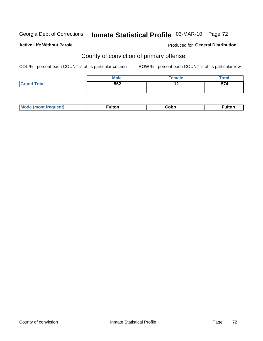# Inmate Statistical Profile 03-MAR-10 Page 72

#### **Active Life Without Parole**

#### **Produced for General Distribution**

## County of conviction of primary offense

COL % - percent each COUNT is of its particular column

|                    | <b>Male</b> | Female | <b>Total</b> |
|--------------------|-------------|--------|--------------|
| <b>Grand Total</b> | 562         | 14     | E74<br>J14   |
|                    |             |        |              |

| Mc | ----<br>untoi | ;obb<br>- - - - | د م ۱۰ |
|----|---------------|-----------------|--------|
|----|---------------|-----------------|--------|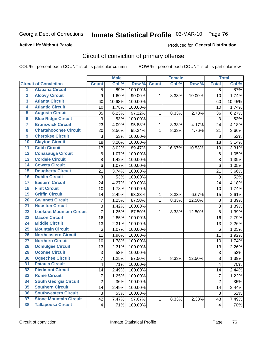Georgia Dept of Corrections

# Inmate Statistical Profile 03-MAR-10 Page 76

### **Active Life Without Parole**

### **Produced for General Distribution**

# Circuit of conviction of primary offense

COL % - percent each COUNT is of its particular column

|                         |                                 | <b>Male</b>    |        | <b>Female</b> |                |        | <b>Total</b> |                 |                     |
|-------------------------|---------------------------------|----------------|--------|---------------|----------------|--------|--------------|-----------------|---------------------|
|                         | <b>Circuit of Conviction</b>    | <b>Count</b>   | Col %  | Row %         | <b>Count</b>   | Col %  | Row %        | <b>Total</b>    | Col %               |
| 1                       | <b>Alapaha Circuit</b>          | 5              | .89%   | 100.00%       |                |        |              | $\overline{5}$  | .87%                |
| $\overline{2}$          | <b>Alcovy Circuit</b>           | 9              | 1.60%  | 90.00%        | 1              | 8.33%  | 10.00%       | 10              | 1.74%               |
| $\overline{\mathbf{3}}$ | <b>Atlanta Circuit</b>          | 60             | 10.68% | 100.00%       |                |        |              | 60              | 10.45%              |
| 4                       | <b>Atlantic Circuit</b>         | 10             | 1.78%  | 100.00%       |                |        |              | 10              | 1.74%               |
| $\overline{5}$          | <b>Augusta Circuit</b>          | 35             | 6.23%  | 97.22%        | 1              | 8.33%  | 2.78%        | 36              | 6.27%               |
| $\overline{6}$          | <b>Blue Ridge Circuit</b>       | $\sqrt{3}$     | .53%   | 100.00%       |                |        |              | $\mathfrak{S}$  | .52%                |
| 7                       | <b>Brunswick Circuit</b>        | 23             | 4.09%  | 95.83%        | 1              | 8.33%  | 4.17%        | 24              | 4.18%               |
| 8                       | <b>Chattahoochee Circuit</b>    | 20             | 3.56%  | 95.24%        | 1              | 8.33%  | 4.76%        | 21              | 3.66%               |
| $\overline{9}$          | <b>Cherokee Circuit</b>         | 3              | .53%   | 100.00%       |                |        |              | $\mathfrak{S}$  | .52%                |
| 10                      | <b>Clayton Circuit</b>          | 18             | 3.20%  | 100.00%       |                |        |              | 18              | 3.14%               |
| $\overline{11}$         | <b>Cobb Circuit</b>             | 17             | 3.02%  | 89.47%        | $\overline{2}$ | 16.67% | 10.53%       | 19              | 3.31%               |
| 12                      | <b>Conasauga Circuit</b>        | 6              | 1.07%  | 100.00%       |                |        |              | $\,6$           | 1.05%               |
| $\overline{13}$         | <b>Cordele Circuit</b>          | 8              | 1.42%  | 100.00%       |                |        |              | $\,8\,$         | 1.39%               |
| $\overline{14}$         | <b>Coweta Circuit</b>           | 6              | 1.07%  | 100.00%       |                |        |              | $\,6$           | 1.05%               |
| 15                      | <b>Dougherty Circuit</b>        | 21             | 3.74%  | 100.00%       |                |        |              | 21              | 3.66%               |
| 16                      | <b>Dublin Circuit</b>           | 3              | .53%   | 100.00%       |                |        |              | 3               | .52%                |
| $\overline{17}$         | <b>Eastern Circuit</b>          | 24             | 4.27%  | 100.00%       |                |        |              | 24              | 4.18%               |
| 18                      | <b>Flint Circuit</b>            | 10             | 1.78%  | 100.00%       |                |        |              | 10              | 1.74%               |
| 19                      | <b>Griffin Circuit</b>          | 14             | 2.49%  | 93.33%        | 1              | 8.33%  | 6.67%        | 15              | 2.61%               |
| 20                      | <b>Gwinnett Circuit</b>         | 7              | 1.25%  | 87.50%        | 1              | 8.33%  | 12.50%       | $\bf 8$         | 1.39%               |
| $\overline{21}$         | <b>Houston Circuit</b>          | 8              | 1.42%  | 100.00%       |                |        |              | $\,8\,$         | 1.39%               |
| $\overline{22}$         | <b>Lookout Mountain Circuit</b> | $\overline{7}$ | 1.25%  | 87.50%        | $\mathbf{1}$   | 8.33%  | 12.50%       | 8               | 1.39%               |
| 23                      | <b>Macon Circuit</b>            | 16             | 2.85%  | 100.00%       |                |        |              | 16              | 2.79%               |
| $\overline{24}$         | <b>Middle Circuit</b>           | 13             | 2.31%  | 100.00%       |                |        |              | 13              | 2.26%               |
| $\overline{25}$         | <b>Mountain Circuit</b>         | 6              | 1.07%  | 100.00%       |                |        |              | $6\phantom{1}6$ | 1.05%               |
| 26                      | <b>Northeastern Circuit</b>     | 11             | 1.96%  | 100.00%       |                |        |              | 11              | 1.92%               |
| $\overline{27}$         | <b>Northern Circuit</b>         | 10             | 1.78%  | 100.00%       |                |        |              | 10              | 1.74%               |
| 28                      | <b>Ocmulgee Circuit</b>         | 13             | 2.31%  | 100.00%       |                |        |              | 13              | 2.26%               |
| 29                      | <b>Oconee Circuit</b>           | 3              | .53%   | 100.00%       |                |        |              | $\mathbf{3}$    | .52%                |
| 30                      | <b>Ogeechee Circuit</b>         | 7              | 1.25%  | 87.50%        | 1              | 8.33%  | 12.50%       | $\bf 8$         | 1.39%               |
| $\overline{31}$         | <b>Pataula Circuit</b>          | 4              | .71%   | 100.00%       |                |        |              | 4               | .70%                |
| 32                      | <b>Piedmont Circuit</b>         | 14             | 2.49%  | 100.00%       |                |        |              | 14              | 2.44%               |
| 33                      | <b>Rome Circuit</b>             | $\overline{7}$ | 1.25%  | 100.00%       |                |        |              | $\overline{7}$  | $\overline{1.22\%}$ |
| 34                      | <b>South Georgia Circuit</b>    | $\overline{2}$ | .36%   | 100.00%       |                |        |              | $\overline{2}$  | .35%                |
| 35                      | <b>Southern Circuit</b>         | 14             | 2.49%  | 100.00%       |                |        |              | 14              | 2.44%               |
| 36                      | <b>Southwestern Circuit</b>     | 3              | .53%   | 100.00%       |                |        |              | 3               | .52%                |
| 37                      | <b>Stone Mountain Circuit</b>   | 42             | 7.47%  | 97.67%        | 1              | 8.33%  | 2.33%        | 43              | 7.49%               |
| 38                      | <b>Tallapoosa Circuit</b>       | 4 <sup>1</sup> | .71%   | 100.00%       |                |        |              | $\overline{4}$  | .70%                |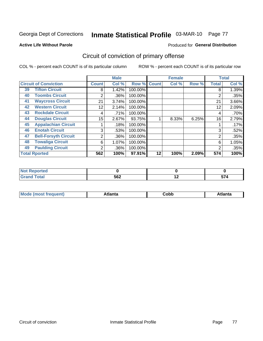Georgia Dept of Corrections

# Inmate Statistical Profile 03-MAR-10 Page 77

**Active Life Without Parole** 

#### Produced for General Distribution

# Circuit of conviction of primary offense

COL % - percent each COUNT is of its particular column

|                      |                              |              | <b>Male</b> |         |              | <b>Female</b> |       |                | <b>Total</b> |
|----------------------|------------------------------|--------------|-------------|---------|--------------|---------------|-------|----------------|--------------|
|                      | <b>Circuit of Conviction</b> | <b>Count</b> | Col %       | Row %   | <b>Count</b> | Col %         | Row % | <b>Total</b>   | Col %        |
| 39                   | <b>Tifton Circuit</b>        | 8            | 1.42%       | 100.00% |              |               |       | 8              | 1.39%        |
| 40                   | <b>Toombs Circuit</b>        | 2            | .36%        | 100.00% |              |               |       | 2              | .35%         |
| 41                   | <b>Waycross Circuit</b>      | 21           | 3.74%       | 100.00% |              |               |       | 21             | 3.66%        |
| 42                   | <b>Western Circuit</b>       | 12           | 2.14%       | 100.00% |              |               |       | 12             | 2.09%        |
| 43                   | <b>Rockdale Circuit</b>      | 4            | .71%        | 100.00% |              |               |       | 4              | .70%         |
| 44                   | <b>Douglas Circuit</b>       | 15           | 2.67%       | 93.75%  |              | 8.33%         | 6.25% | 16             | 2.79%        |
| 45                   | <b>Appalachian Circuit</b>   |              | .18%        | 100.00% |              |               |       |                | .17%         |
| 46                   | <b>Enotah Circuit</b>        | 3            | .53%        | 100.00% |              |               |       | 3              | .52%         |
| 47                   | <b>Bell-Forsyth Circuit</b>  | 2            | .36%        | 100.00% |              |               |       | $\overline{2}$ | .35%         |
| 48                   | <b>Towaliga Circuit</b>      | 6            | 1.07%       | 100.00% |              |               |       | 6              | 1.05%        |
| 49                   | <b>Paulding Circuit</b>      | 2            | .36%        | 100.00% |              |               |       | 2              | .35%         |
| <b>Total Rported</b> |                              | 562          | 100%        | 97.91%  | 12           | 100%          | 2.09% | 574            | 100%         |

| eported<br>N     |     |     |      |
|------------------|-----|-----|------|
| <b>Total</b>     | 562 | . . | -- - |
| $\mathbf{v}$ and |     |     | JI.  |

| M | . | -----<br>oг | ----<br>пLс |
|---|---|-------------|-------------|
|   |   | <b>OUNN</b> |             |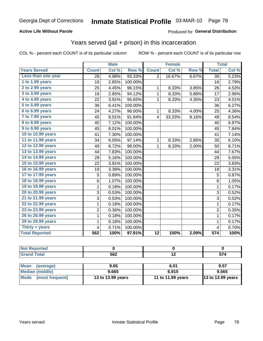### **Active Life Without Parole**

### Produced for General Distribution

## Years served (jail + prison) in this incarceration

COL % - percent each COUNT is of its particular column

|                       | <b>Male</b>  |       | <b>Female</b> |                         |        | <b>Total</b> |                  |       |
|-----------------------|--------------|-------|---------------|-------------------------|--------|--------------|------------------|-------|
| <b>Years Served</b>   | <b>Count</b> | Col % | Row %         | <b>Count</b>            | Col %  | Row %        | <b>Total</b>     | Col % |
| Less than one year    | 28           | 4.98% | 93.33%        | $\overline{2}$          | 16.67% | 6.67%        | 30               | 5.23% |
| 1 to 1.99 years       | 16           | 2.85% | 100.00%       |                         |        |              | 16               | 2.79% |
| 2 to 2.99 years       | 25           | 4.45% | 96.15%        | 1                       | 8.33%  | 3.85%        | 26               | 4.53% |
| 3 to 3.99 years       | 16           | 2.85% | 94.12%        | $\mathbf{1}$            | 8.33%  | 5.88%        | 17               | 2.96% |
| 4 to 4.99 years       | 22           | 3.91% | 95.65%        | $\mathbf{1}$            | 8.33%  | 4.35%        | 23               | 4.01% |
| 5 to 5.99 years       | 36           | 6.41% | 100.00%       |                         |        |              | 36               | 6.27% |
| 6 to 6.99 years       | 24           | 4.27% | 96.00%        | 1                       | 8.33%  | 4.00%        | 25               | 4.36% |
| 7 to 7.99 years       | 45           | 8.01% | 91.84%        | $\overline{\mathbf{4}}$ | 33.33% | 8.16%        | 49               | 8.54% |
| 8 to 8.99 years       | 40           | 7.12% | 100.00%       |                         |        |              | 40               | 6.97% |
| 9 to 9.99 years       | 45           | 8.01% | 100.00%       |                         |        |              | 45               | 7.84% |
| 10 to 10.99 years     | 41           | 7.30% | 100.00%       |                         |        |              | 41               | 7.14% |
| 11 to 11.99 years     | 34           | 6.05% | 97.14%        | 1                       | 8.33%  | 2.86%        | 35               | 6.10% |
| 12 to 12.99 years     | 49           | 8.72% | 98.00%        | 1                       | 8.33%  | 2.00%        | 50               | 8.71% |
| 13 to 13.99 years     | 44           | 7.83% | 100.00%       |                         |        |              | 44               | 7.67% |
| 14 to 14.99 years     | 29           | 5.16% | 100.00%       |                         |        |              | 29               | 5.05% |
| 15 to 15.99 years     | 22           | 3.91% | 100.00%       |                         |        |              | 22               | 3.83% |
| 16 to 16.99 years     | 19           | 3.38% | 100.00%       |                         |        |              | 19               | 3.31% |
| 17 to 17.99 years     | 5            | 0.89% | 100.00%       |                         |        |              | 5                | 0.87% |
| 18 to 18.99 years     | 6            | 1.07% | 100.00%       |                         |        |              | $6\phantom{1}$   | 1.05% |
| 19 to 19.99 years     | 1            | 0.18% | 100.00%       |                         |        |              | $\mathbf{1}$     | 0.17% |
| 20 to 20.99 years     | 3            | 0.53% | 100.00%       |                         |        |              | $\overline{3}$   | 0.52% |
| 21 to 21.99 years     | 3            | 0.53% | 100.00%       |                         |        |              | 3                | 0.52% |
| 22 to 22.99 years     | 1            | 0.18% | 100.00%       |                         |        |              | $\mathbf{1}$     | 0.17% |
| 23 to 23.99 years     | 2            | 0.36% | 100.00%       |                         |        |              | $\overline{2}$   | 0.35% |
| 26 to 26.99 years     | 1            | 0.18% | 100.00%       |                         |        |              | $\mathbf 1$      | 0.17% |
| 29 to 29.99 years     | 1            | 0.18% | 100.00%       |                         |        |              | 1                | 0.17% |
| Thirty + years        | 4            | 0.71% | 100.00%       |                         |        |              | 4                | 0.70% |
| <b>Total Reported</b> | 562          | 100%  | 97.91%        | $\overline{12}$         | 100%   | 2.09%        | $\overline{574}$ | 100%  |

| --     |     |     |    |
|--------|-----|-----|----|
| ______ | 562 | . . | -- |

| Mean<br>(average)    | 9.65              | 6.01              | 9.57                |
|----------------------|-------------------|-------------------|---------------------|
| Median (middle)      | 9.665             | 6.915             | 9.565               |
| Mode (most frequent) | 13 to 13.99 years | 11 to 11.99 years | $13$ to 13.99 years |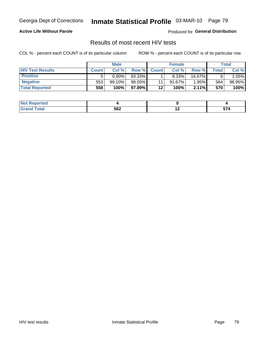Georgia Dept of Corrections

# Inmate Statistical Profile 03-MAR-10 Page 79

### **Active Life Without Parole**

Produced for General Distribution

### Results of most recent HIV tests

COL % - percent each COUNT is of its particular column

|                         | <b>Male</b>  |          | <b>Female</b> |              |           | Total    |       |        |
|-------------------------|--------------|----------|---------------|--------------|-----------|----------|-------|--------|
| <b>HIV Test Results</b> | <b>Count</b> | Col %    | Row %I        | <b>Count</b> | Col %     | Row %    | Total | Col %  |
| <b>Positive</b>         |              | $0.90\%$ | 83.33%        |              | $8.33\%$  | 16.67%   |       | 1.05%  |
| <b>Negative</b>         | 553          | 99.10%   | 98.05%        | 11           | $91.67\%$ | 1.95%    | 564   | 98.95% |
| <b>Total Reported</b>   | 558          | 100%     | 97.89%        | $12 \,$      | 100%      | $2.11\%$ | 570   | 100%   |

| Not .<br>: Reported |     |     |             |
|---------------------|-----|-----|-------------|
| <b>otal</b>         | 562 | . . | $- -$ .<br> |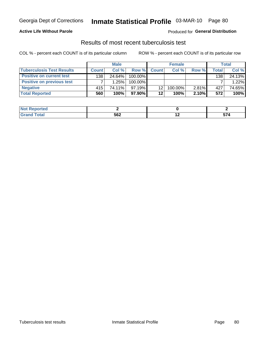### **Active Life Without Parole**

#### Produced for General Distribution

### Results of most recent tuberculosis test

COL % - percent each COUNT is of its particular column

|                                  | <b>Male</b>  |        | <b>Female</b> |              |         | <b>Total</b> |       |        |
|----------------------------------|--------------|--------|---------------|--------------|---------|--------------|-------|--------|
| <b>Tuberculosis Test Results</b> | <b>Count</b> | Col%   | Row %I        | <b>Count</b> | Col %   | Row %        | Total | Col %  |
| <b>Positive on current test</b>  | 138          | 24.64% | 100.00%       |              |         |              | 138   | 24.13% |
| <b>Positive on previous test</b> |              | 1.25%  | 100.00%       |              |         |              |       | 1.22%  |
| <b>Negative</b>                  | 415          | 74.11% | $97.19\%$     | 12           | 100.00% | $2.81\%$     | 427   | 74.65% |
| <b>Total Reported</b>            | 560          | 100%   | 97.90% I      | 12           | 100%    | 2.10%        | 572   | 100%   |

| <b>Not Reported</b> |     |     |    |
|---------------------|-----|-----|----|
| <b>Total</b>        | 562 | . . | -- |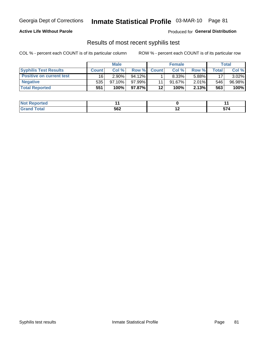### **Active Life Without Parole**

**Produced for General Distribution** 

### Results of most recent syphilis test

COL % - percent each COUNT is of its particular column

|                                 | <b>Male</b>  |           | <b>Female</b> |              |           | Total    |       |        |
|---------------------------------|--------------|-----------|---------------|--------------|-----------|----------|-------|--------|
| <b>Syphilis Test Results</b>    | <b>Count</b> | Col%      | Row %         | <b>Count</b> | Col %     | Row %I   | Total | Col %  |
| <b>Positive on current test</b> | 16           | $2.90\%$  | $94.12\%$     |              | $8.33\%$  | 5.88%    | 17    | 3.02%  |
| <b>Negative</b>                 | 535          | $97.10\%$ | $97.99\%$     |              | $91.67\%$ | $2.01\%$ | 546   | 96.98% |
| <b>Total Reported</b>           | 551          | 100%      | 97.87%I       | $12 \,$      | 100%      | 2.13%    | 563   | 100%   |

| <b>Not Reported</b> |     |    |                             |
|---------------------|-----|----|-----------------------------|
| <b>Fotal</b>        | 562 | -- | --<br><u>. J.</u><br>$\sim$ |